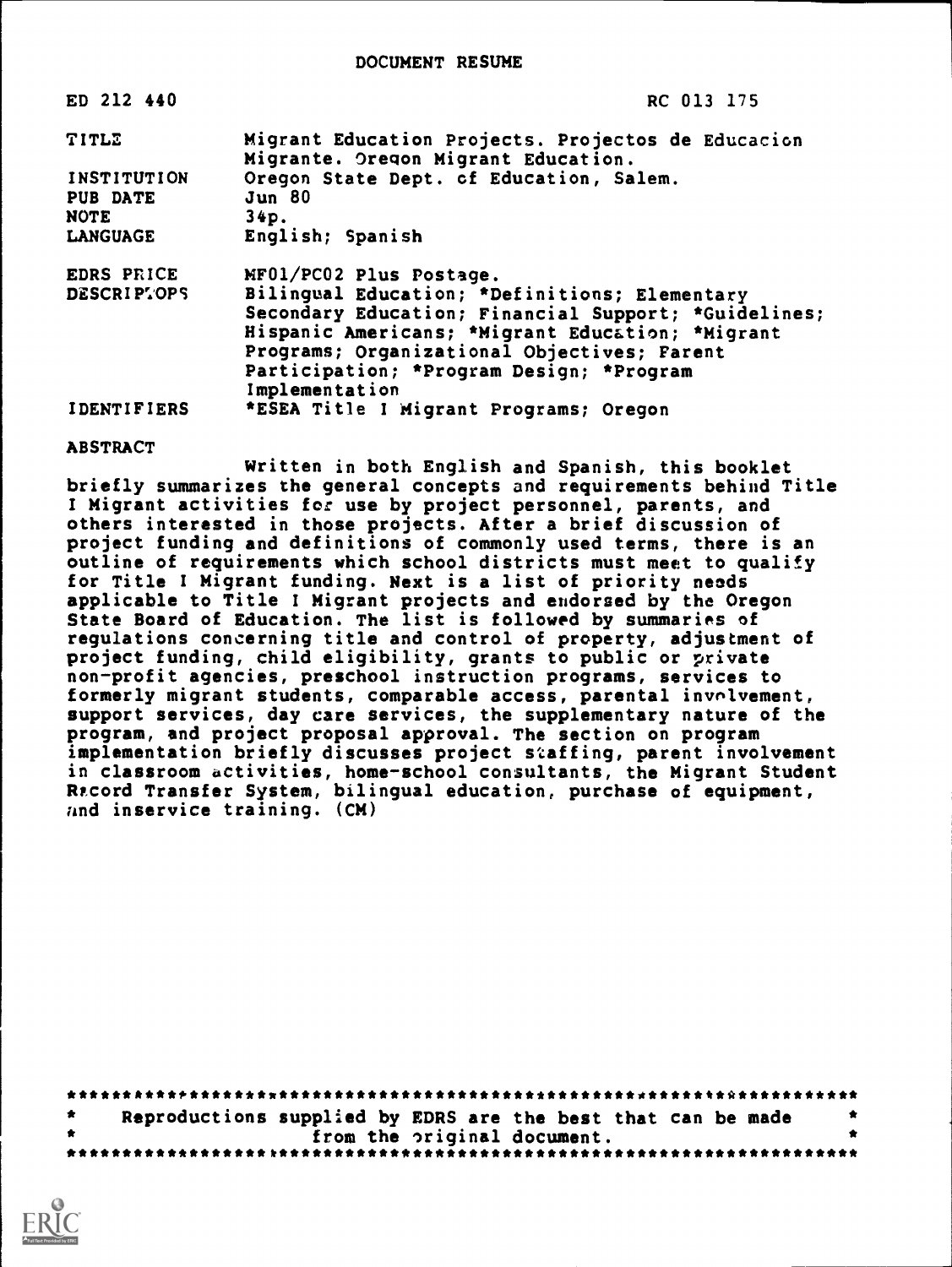| ED 212 440                                    | RC 013 175                                                                                                                                                                                                                                                             |
|-----------------------------------------------|------------------------------------------------------------------------------------------------------------------------------------------------------------------------------------------------------------------------------------------------------------------------|
| TITLE                                         | Migrant Education Projects. Projectos de Educacion<br>Migrante. Oregon Migrant Education.                                                                                                                                                                              |
| <b>INSTITUTION</b><br>PUB DATE<br><b>NOTE</b> | Oregon State Dept. cf Education, Salem.<br><b>Jun 80</b><br>34p.                                                                                                                                                                                                       |
| <b>LANGUAGE</b>                               | English; Spanish                                                                                                                                                                                                                                                       |
| EDRS PRICE                                    | MF01/PC02 Plus Postage.                                                                                                                                                                                                                                                |
| DESCRIPTOPS                                   | Bilingual Education; *Definitions; Elementary<br>Secondary Education; Financial Support; *Guidelines;<br>Hispanic Americans; *Migrant Education; *Migrant<br>Programs; Organizational Objectives; Farent<br>Participation; *Program Design; *Program<br>Implementation |
| <b>IDENTIFIERS</b>                            | *ESEA Title I Migrant Programs; Oregon                                                                                                                                                                                                                                 |

### ABSTRACT

Written in both English and Spanish, this booklet briefly summarizes the general concepts and requirements behind Title I Migrant activities for use by project personnel, parents, and others interested in those projects. After a brief discussion of project funding and definitions of commonly used terms, there is an outline of requirements which school districts must meet to qualify for Title I Migrant funding. Next is a list of priority needs applicable to Title I Migrant projects and endorsed by the Oregon State Board of Education. The list is followed by summaries of regulations concerning title and control of property, adjustment of project funding, child eligibility, grants to public or private non-profit agencies, preschool instruction programs, services to formerly migrant students, comparable access, parental involvement, support services, day care services, the supplementary nature of the program, and project proposal approval. The section on program implementation briefly discusses project staffing, parent involvement in classroom activities, home-school consultants, the Migrant Student Record Transfer System, bilingual education, purchase of equipment, and inservice training. (CM)

| Reproductions supplied by EDRS are the best that can be made |                             |  | . . |
|--------------------------------------------------------------|-----------------------------|--|-----|
|                                                              | from the original document. |  |     |
|                                                              |                             |  |     |

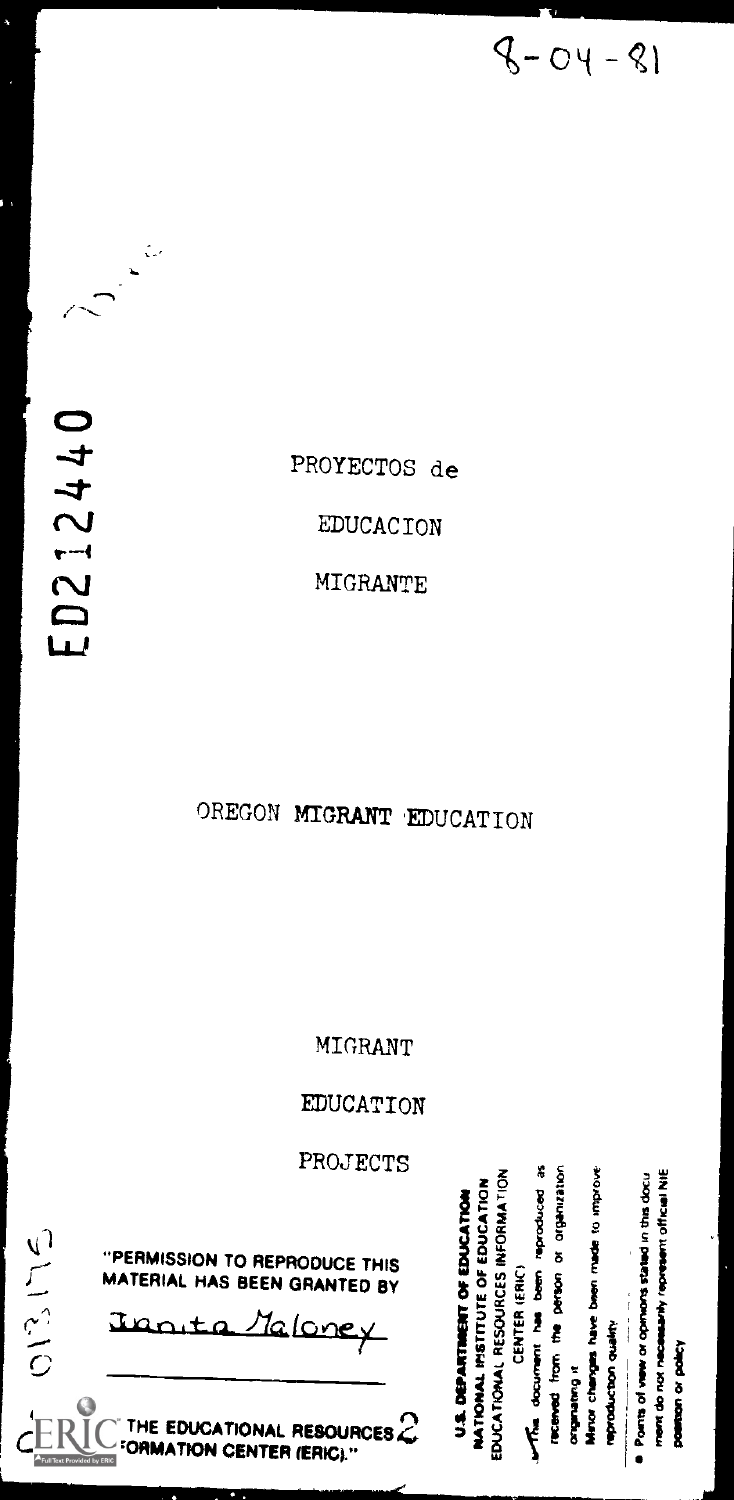11111.11MMillmammmulmommults---.

"PERMISSION TO REPRODUCE THIS  $\overrightarrow{a}$   $\overrightarrow{b}$   $\overrightarrow{c}$   $\overrightarrow{c}$   $\overrightarrow{a}$   $\overrightarrow{b}$   $\overrightarrow{c}$   $\overrightarrow{d}$   $\overrightarrow{c}$   $\overrightarrow{d}$   $\overrightarrow{e}$   $\overrightarrow{a}$   $\overrightarrow{b}$   $\overrightarrow{c}$   $\overrightarrow{d}$   $\overrightarrow{e}$   $\overrightarrow{e}$   $\overrightarrow{f}$   $\overrightarrow{e}$   $\overrightarrow{f}$   $\overrightarrow{e}$   $\$ 

 $PROJECTS$ <br>  $\frac{2}{5}$   $\frac{2}{5}$   $\frac{3}{5}$   $\frac{3}{5}$   $\frac{3}{5}$   $\frac{3}{5}$   $\frac{3}{5}$   $\frac{3}{5}$   $\frac{3}{5}$   $\frac{3}{5}$   $\frac{3}{5}$   $\frac{3}{5}$   $\frac{3}{5}$   $\frac{3}{5}$   $\frac{3}{5}$   $\frac{3}{5}$   $\frac{3}{5}$   $\frac{3}{5}$   $\frac{3}{5}$   $\frac{3}{5}$   $\frac{3}{5}$   $\$ CATO<br>DGATA<br>DGATA gapang termasukan<br>sepanjang termasukan  $\frac{1}{2}$   $\frac{1}{2}$   $\frac{1}{2}$   $\frac{1}{2}$   $\frac{1}{2}$   $\frac{1}{2}$   $\frac{1}{2}$   $\frac{1}{2}$   $\frac{1}{2}$   $\frac{1}{2}$   $\frac{1}{2}$   $\frac{1}{2}$   $\frac{1}{2}$   $\frac{1}{2}$   $\frac{1}{2}$   $\frac{1}{2}$   $\frac{1}{2}$   $\frac{1}{2}$   $\frac{1}{2}$   $\frac{1}{2}$   $\frac{1}{2}$   $\frac{1}{2}$  ERMISSION TO REPRODUCE THIS<br>
TERMISSION TO REPRODUCE THIS<br>
TERMISSION TO REPRODUCE THIS<br>
TERMISSION TO REPRODUCE THIS<br>
TERMISSION TO REPRODUCE THIS<br>
THE EDUCATIONAL RESOURCES<br>
THE EDUCATIONAL RESOURCES<br>
THE EDUCATIONAL RES THE EDUCATIONAL RESOURCES<br>
CONDATION CENTER (ERIC)."<br>
CONDATION CENTER (ERIC)."

EDUCATION

MIGRANT

OREGON MIGRANT EDUCATION

ED212440

013175

ç.,  $\ddot{\phantom{a}}$ 

ł,

EDUCACION

**MIGRANTE** 

PROYECTOS de

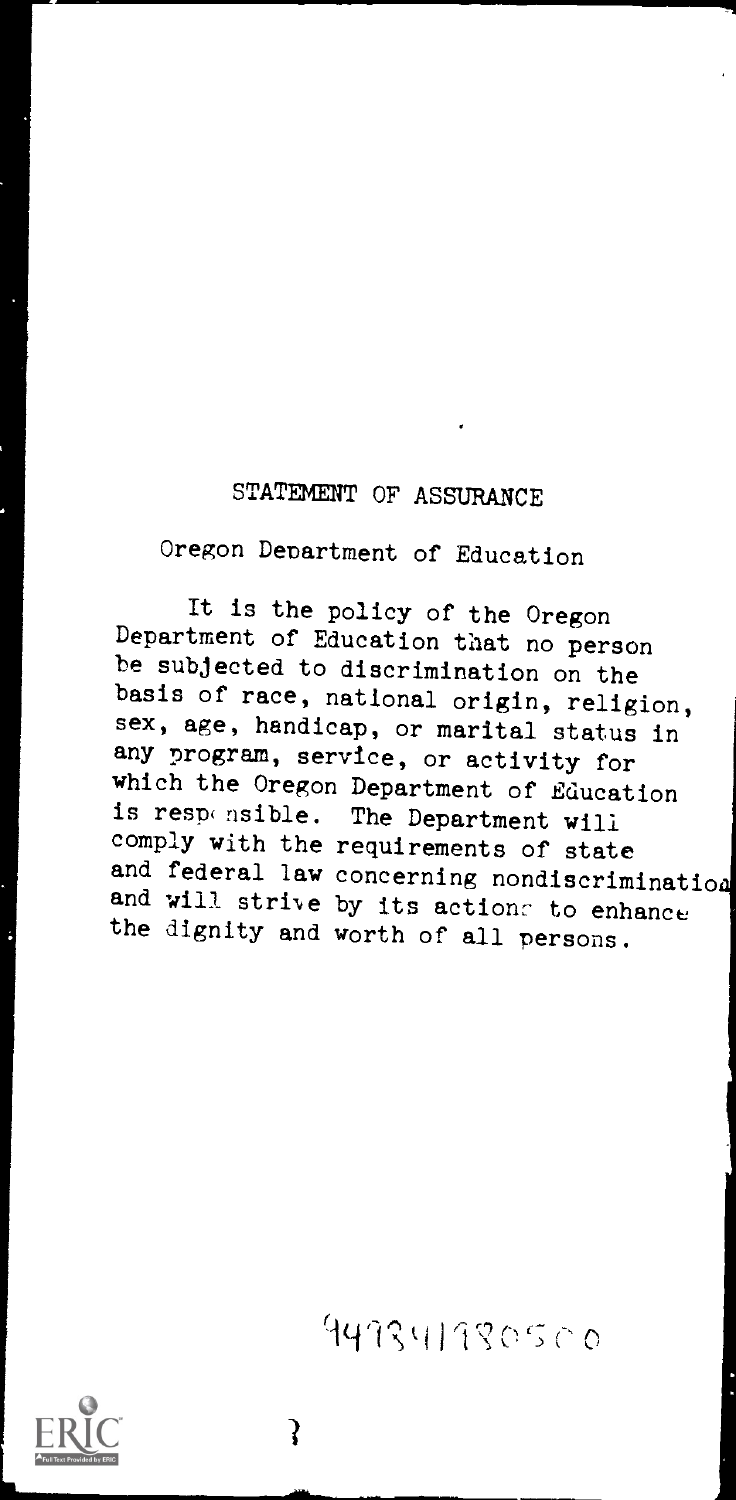# STATEMENT OF ASSURANCE

Oregon Department of Education

It is the policy of the Oregon Department of Education that no person be subjected to discrimination on the basis of race, national origin, religion, sex, age, handicap, or marital status in any program, service, or activity for which the Oregon Department of Education is responsible. The Department will comply with the requirements of state and federal law concerning nondiscrimination and will strive by its actions to enhance the dignity and worth of all persons.

947341780500

₹

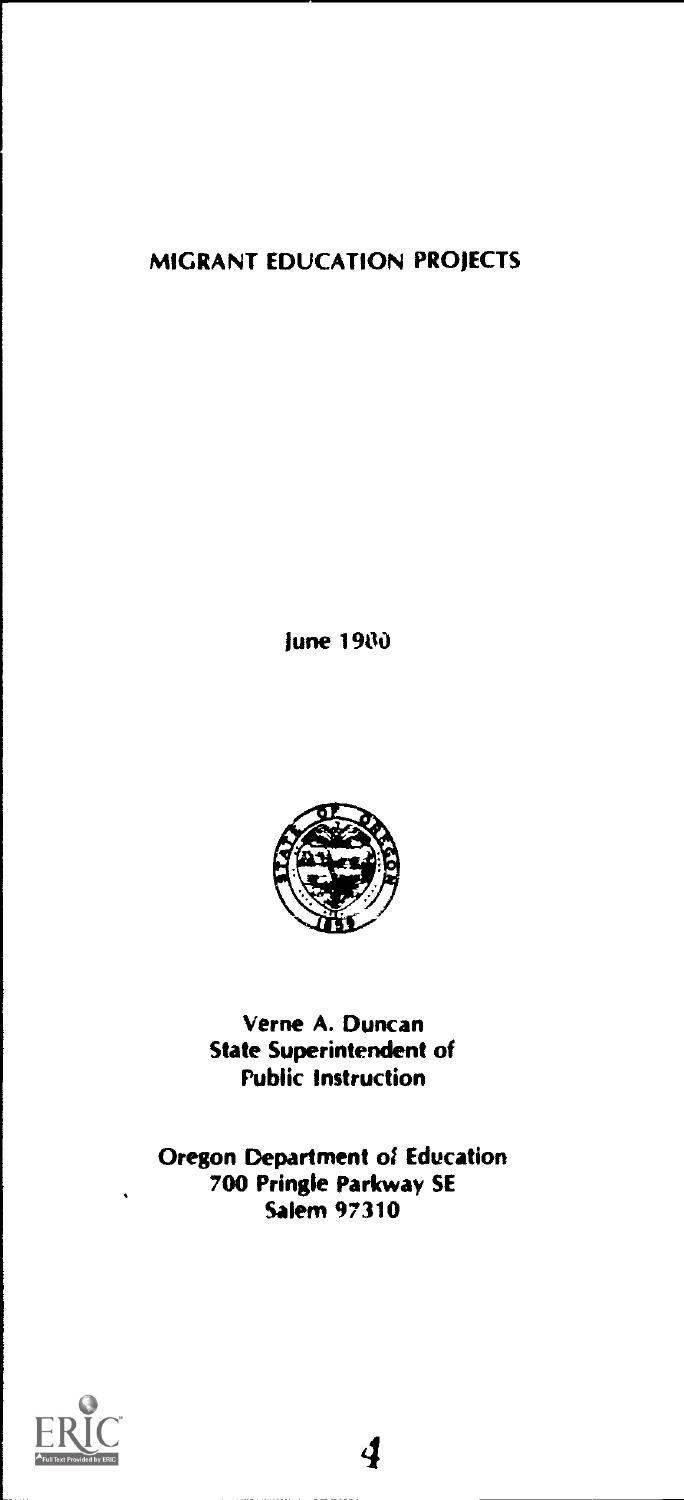# MIGRANT EDUCATION PROJECTS

June 1980



Verne A. Duncan State Superintendent of Public Instruction

Oregon Department of Education 700 Pringle Parkway SE Salem 97310

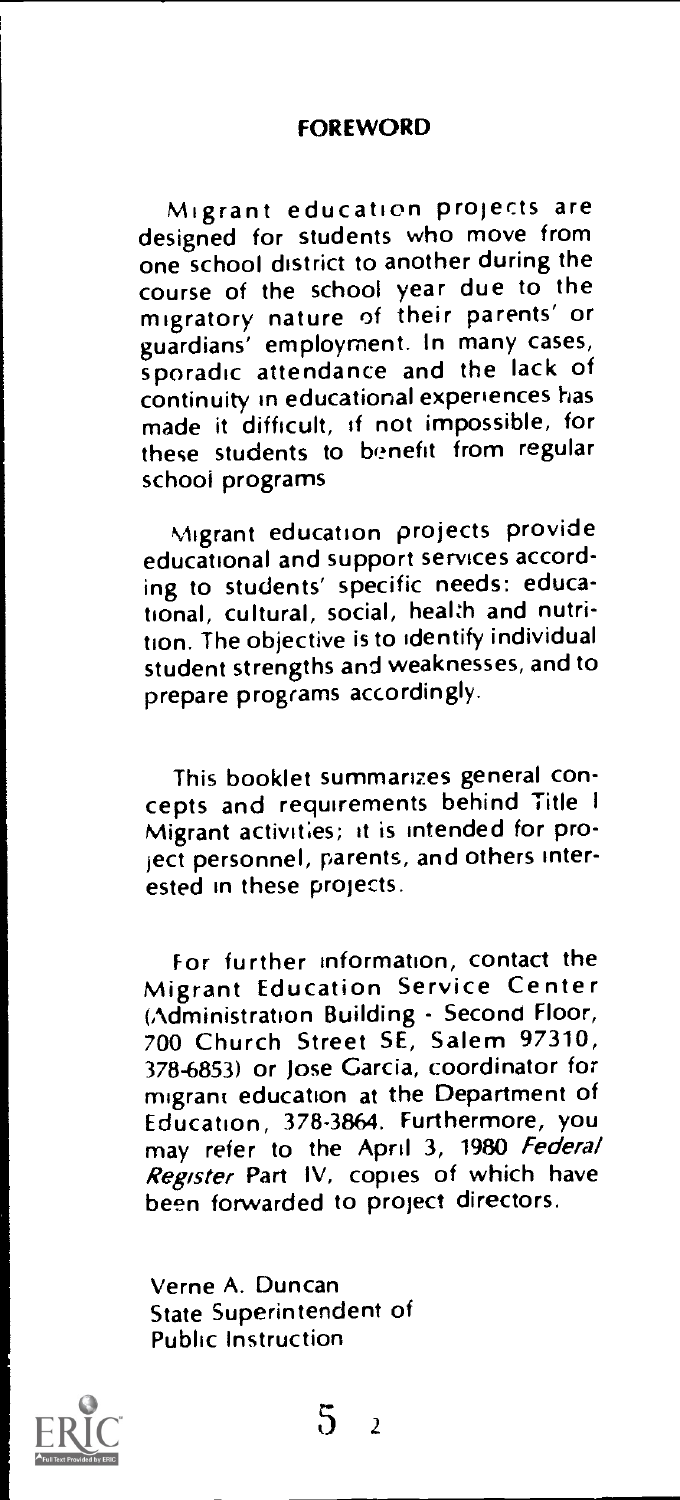#### FOREWORD

Migrant education projects are designed for students who move from one school district to another during the course of the school year due to the migratory nature of their parents' or guardians' employment. In many cases, sporadic attendance and the lack of continuity in educational experiences has made it difficult, if not impossible, for these students to benefit from regular school programs

Migrant education projects provide educational and support services according to students' specific needs: educational, cultural, social, health and nutrition. The objective is to identify individual student strengths and weaknesses, and to prepare programs accordingly.

This booklet summarizes general concepts and requirements behind Title <sup>I</sup> Migrant activities; it is intended for project personnel, parents, and others interested in these projects.

For further information, contact the Migrant Education Service Center (Administration Building - Second Floor, 700 Church Street SE, Salem 97310, 378-6853) or Jose Garcia, coordinator for migrant education at the Department of Education, 378-3864. Furthermore, you may refer to the April 3, 1980 Federal Register Part IV, copies of which have been forwarded to project directors.

Verne A. Duncan State Superintendent of Public Instruction

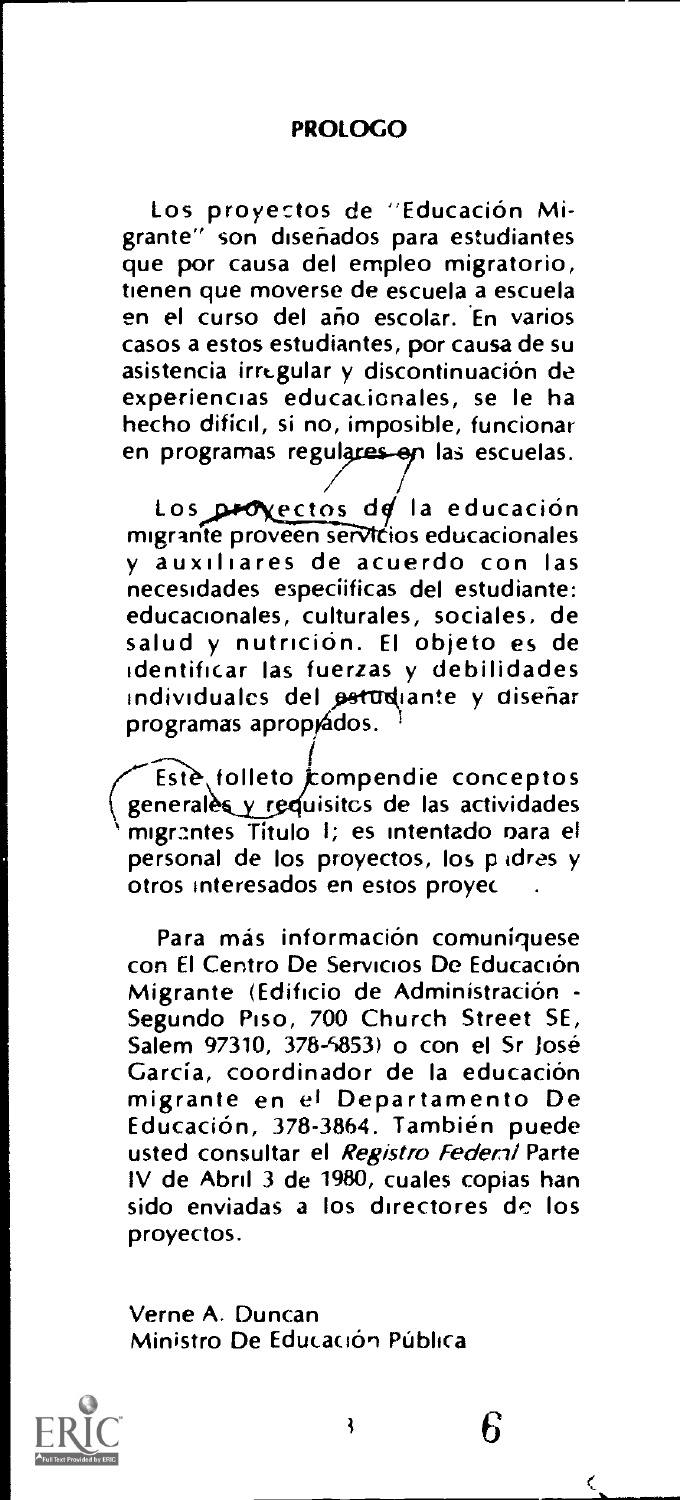#### PROLOGO

Los proyectos de "Education Migrante" son disenados para estudiantes que por causa del empleo migratorio, tienen que moverse de escuela a escuela en el curso del ario escolar. En varios casos a estos estudiantes, por causa de su asistencia irregular y discontinuación de experiencias educacionales, se le ha hecho difícil, si no, imposible, funcionar en programas regulares en las escuelas.

Los proxectos de la educación migrante proveen servicios educacionales y auxiltares de acuerdo con las necestdades especiificas del estudiante: educacionales, culturales, sociales, de salud y nutrición. El objeto es de identificar las fuerzas y debilidades individuales del petudiante y diseñar programas aproprádos.

Este folleto compendie conceptos generales y requisitos de las actividades migrantes Título I; es intentado nara el personal de los proyectos, los pidres y otros interesados en estos proyec .

Para más información comuniquese con El Centro De Servicios De Educación Migrante (Edificio de Administración -<br>Segundo Piso, 700 Church Street SE, Salem 97310, 378-5853) o con el Sr Jose García, coordinador de la educación migrante en el Departamento De Educación, 378-3864. También puede usted consultar el Registro Federal Parte IV de Abril 3 de 1980, cuales copias han sido enviadas a los directores de los proyectos.

Verne A. Duncan Ministro De Educación Pública



6

Ć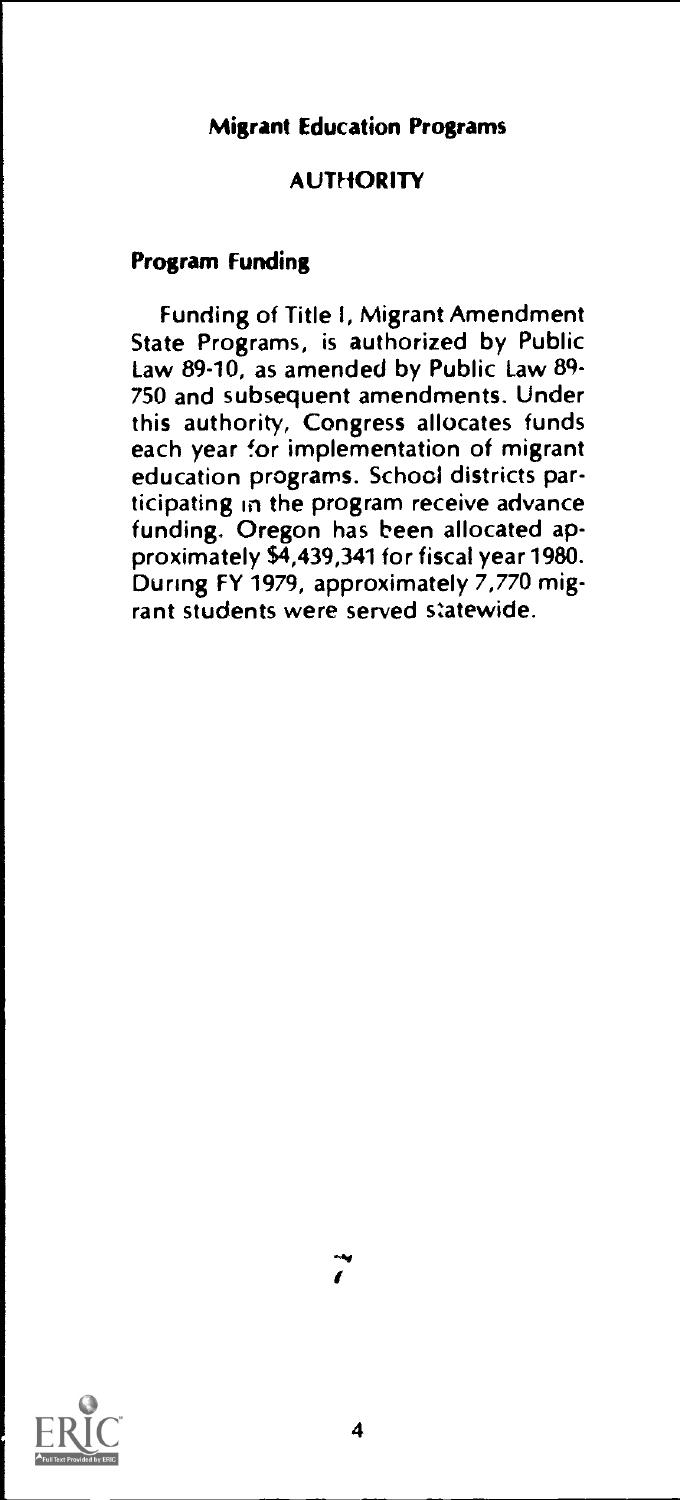### Migrant Education Programs

### **AUTHORITY**

### Program Funding

Funding of Title I, Migrant Amendment State Programs, is authorized by Public Law 89-10, as amended by Public Law 89- 750 and subsequent amendments. Under this authority, Congress allocates funds each year for implementation of migrant education programs. School districts participating in the program receive advance funding. Oregon has been allocated approximately \$4,439,341 for fiscal year 1980. During FY 1979, approximately  $7,770$  migrant students were served statewide.

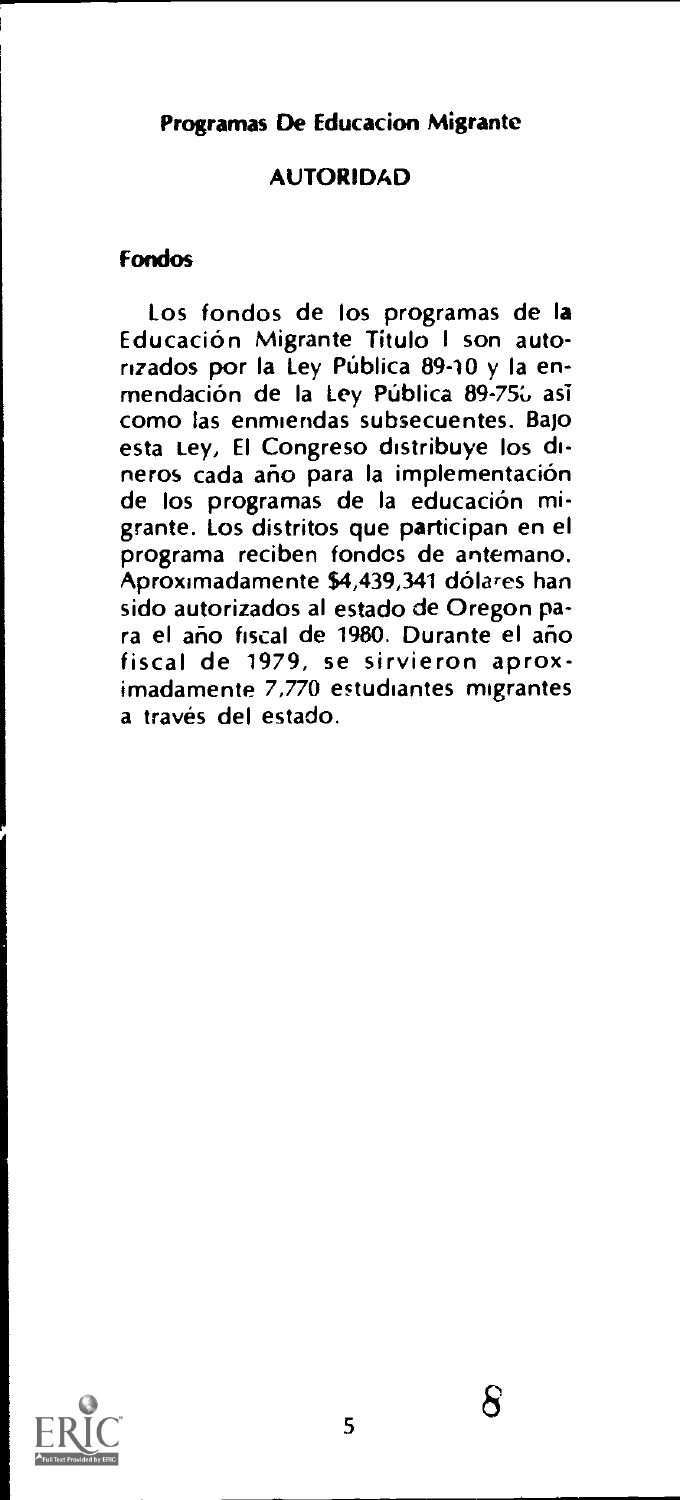### Programas De Educacion Migrante

### **AUTORIDAD**

### Fondos

Los fondos de los programas de la Education Migrante Titulo <sup>I</sup> son autorizados por la Ley Pública 89-10 y la enmendación de la Ley Pública 89-756 así como las enmiendas subsecuentes. Bajo esta Ley, El Congreso distribuye los dineros cada año para la implementación de los programas de la educación migrante. Los distritos que participan en el programa reciben fondcs de antemano. Aproximadamente \$4,439,341 dolares ban sido autorizados al estado de Oregon para el año fiscal de 1980. Durante el año fiscal de 1979, se sirvieron aproximadamente 7,770 estudiantes migrantes a traves del estado.

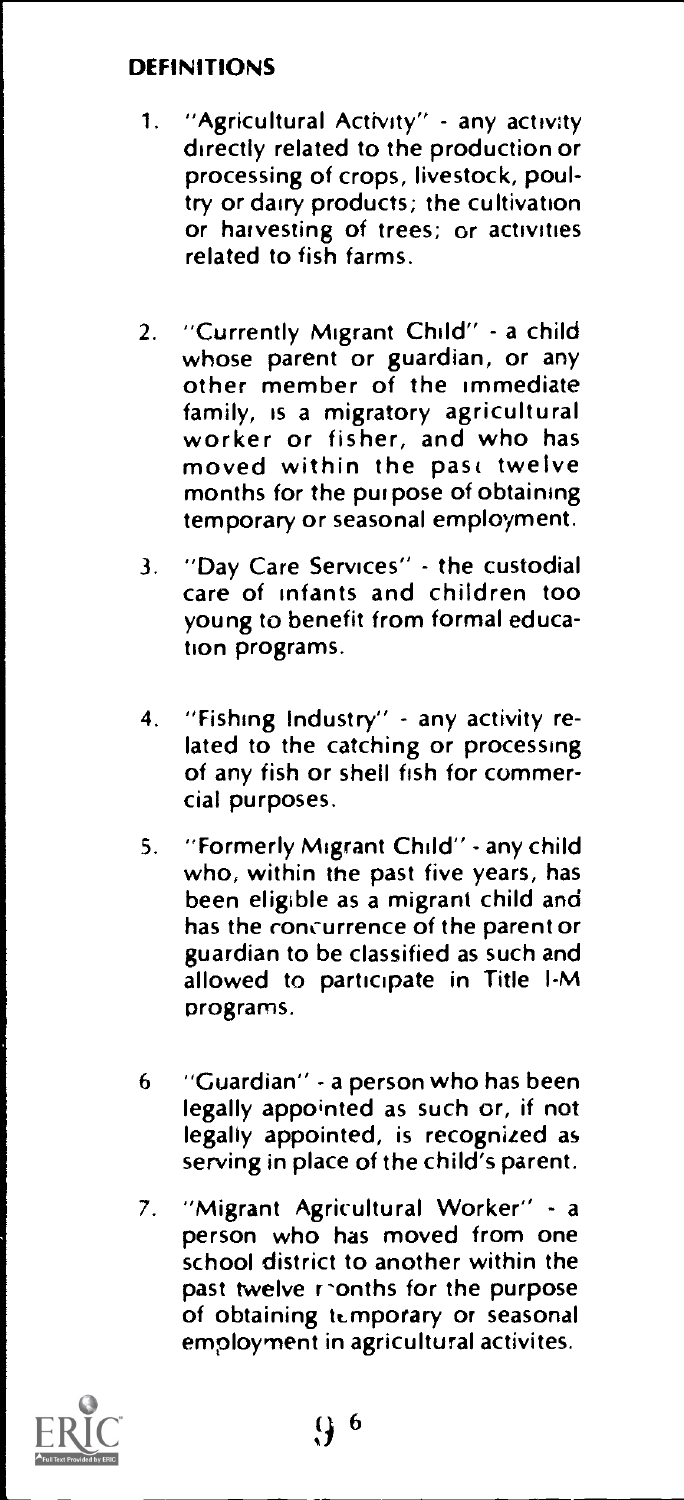# DEFINITIONS

- 1. "Agricultural Activity" any activity directly related to the production or processing of crops, livestock, poultry or dairy products; the cultivation or harvesting of trees; or activities related to fish farms.
- 2. "Currently Migrant Child" a child whose parent or guardian, or any other member of the immediate<br>family, is a migratory agricultural worker or fisher, and who has moved within the past twelve months for the pur pose of obtaining temporary or seasonal employment.
- 3. "Day Care Services" the custodial care of infants and children too young to benefit from formal education programs.
- 4. "Fishing Industry" any activity related to the catching or processing of any fish or shell fish for commercial purposes.
- 5. "Formerly Migrant Child" any child who, within the past five years, has been eligible as a migrant child and has the concurrence of the parent or guardian to be classified as such and allowed to participate in Title I-M programs.
- 6 "Guardian" a person who has been legally appointed as such or, if not legally appointed, is recognized as serving in place of the child's parent.
- 7. "Migrant Agricultural Worker" a person who has moved from one school district to another within the past twelve reonths for the purpose of obtaining temporary or seasonal employment in agricultural activites.

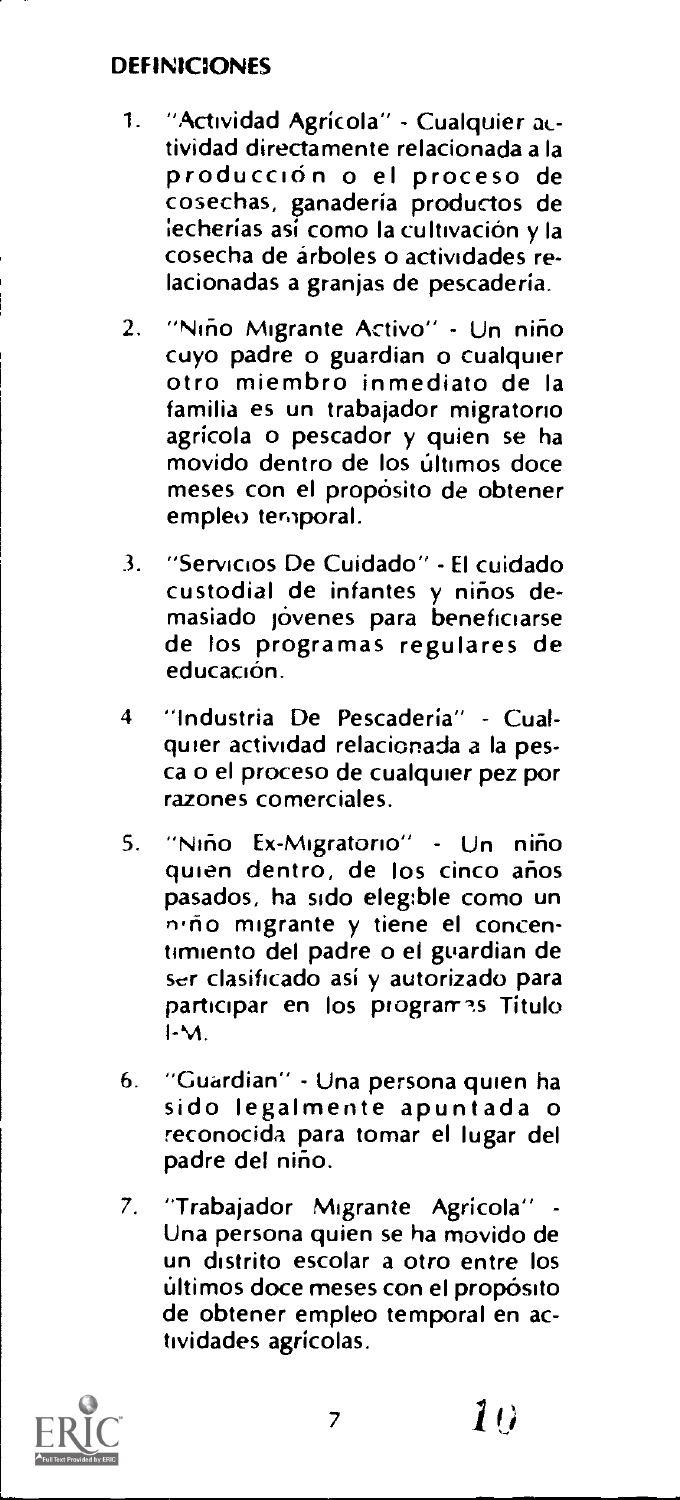### DEFINICIONES

- 1. "Actividad Agricola" Cualquier actividad directamente relacionada a la produccidn o el proceso de cosechas, ganaderia productos de iecherías así como la cultivación y la cosecha de árboles o actividades relacionadas a granjas de pescaderia.
- 2. "Niño Migrante Activo" Un niño cuyo padre o guardian o cualquier otro miembro inmediato de la familia es un trabajador migratono agricola o pescador y quien se ha movido dentro de los ultimos doce meses con el propósito de obtener empleo temporal.
- 3. "Servicios De Cuidado" El cuidado custodial de infantes y niños demasiado jovenes para beneficiarse de los programas regulares de educación.
- 4 "Industria De Pescadería" Cualquier actividad relacionada a la pesca o el proceso de cualquier pez por razones comerciales.
- 5. "Nino Ex-Migratono" Un nirio quien dentro, de los cinco años pasados, ha sido eleg:ble como un n.ño migrante y tiene el concentimiento del padre o el guardian de ser clasificado asi y autorizado para participar en los programes Titulo I-M.
- 6. "Guardian" Una persona quien ha sido legalmente apuntada o reconocida para tomar el lugar del padre del niño.
- 7. "Trabajador Migrante Agricola" Una persona quien se ha movido de un distrito escolar a otro entre los ultimos doce meses con el proposito de obtener empleo temporal en actividades agricolas.

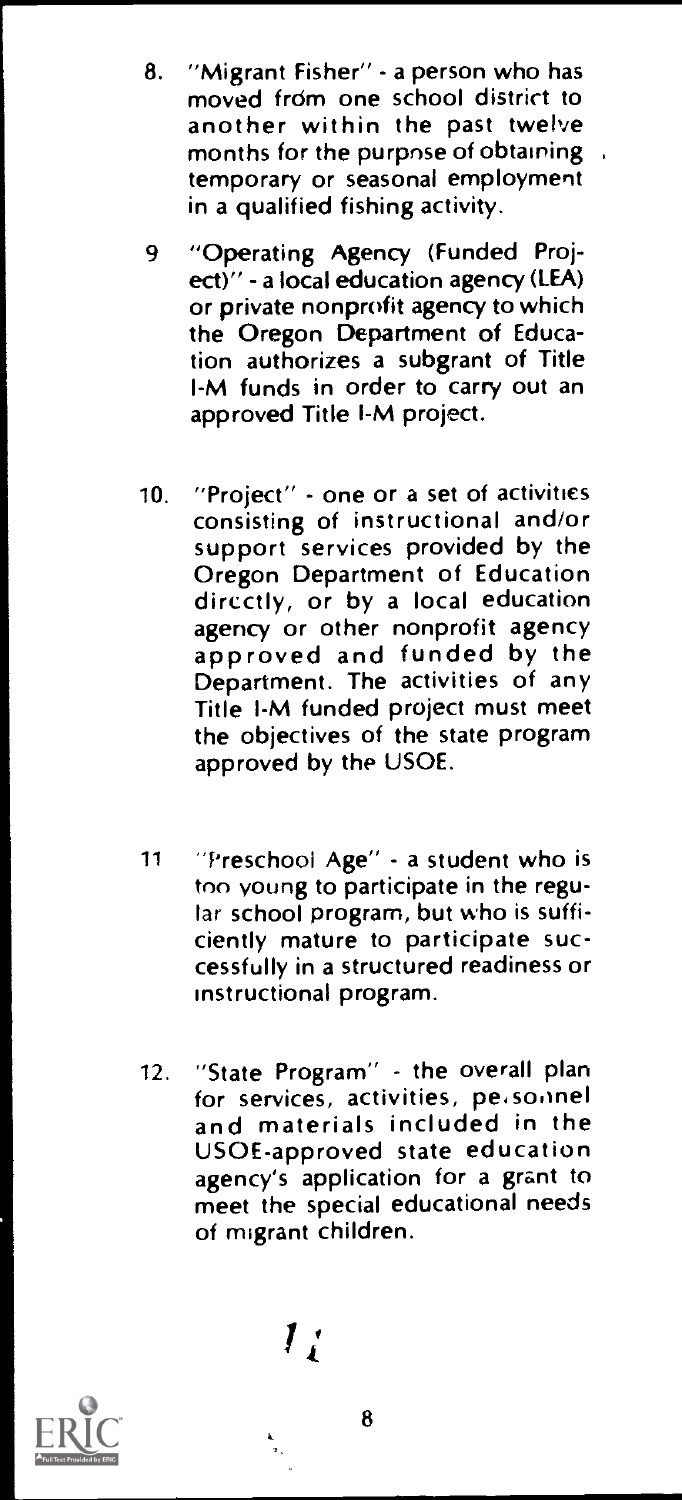- 8. "Migrant Fisher" a person who has moved frdm one school district to another within the past twelve months for the purpose of obtaining , temporary or seasonal employment in a qualified fishing activity.
- 9 "Operating Agency (Funded Project)" - a local education agency (LEA) or private nonprofit agency to which the Oregon Department of Education authorizes a subgrant of Title I-M funds in order to carry out an approved Title I-M project.
- 10. "Project" one or a set of activities consisting of instructional and/or support services provided by the Oregon Department of Education directly, or by a local education<br>agency or other nonprofit agency approved and funded by the Department. The activities of any Title I-M funded project must meet the objectives of the state program approved by the USOE.
- <sup>11</sup> "Preschool Age" a student who is too young to participate in the regular school program, but who is sufficiently mature to participate successfully in a structured readiness or instructional program.
- 12. "State Program" the overall plan and materials included in the USOE-approved state education agency's application for a grant to meet the special educational needs of migrant children.

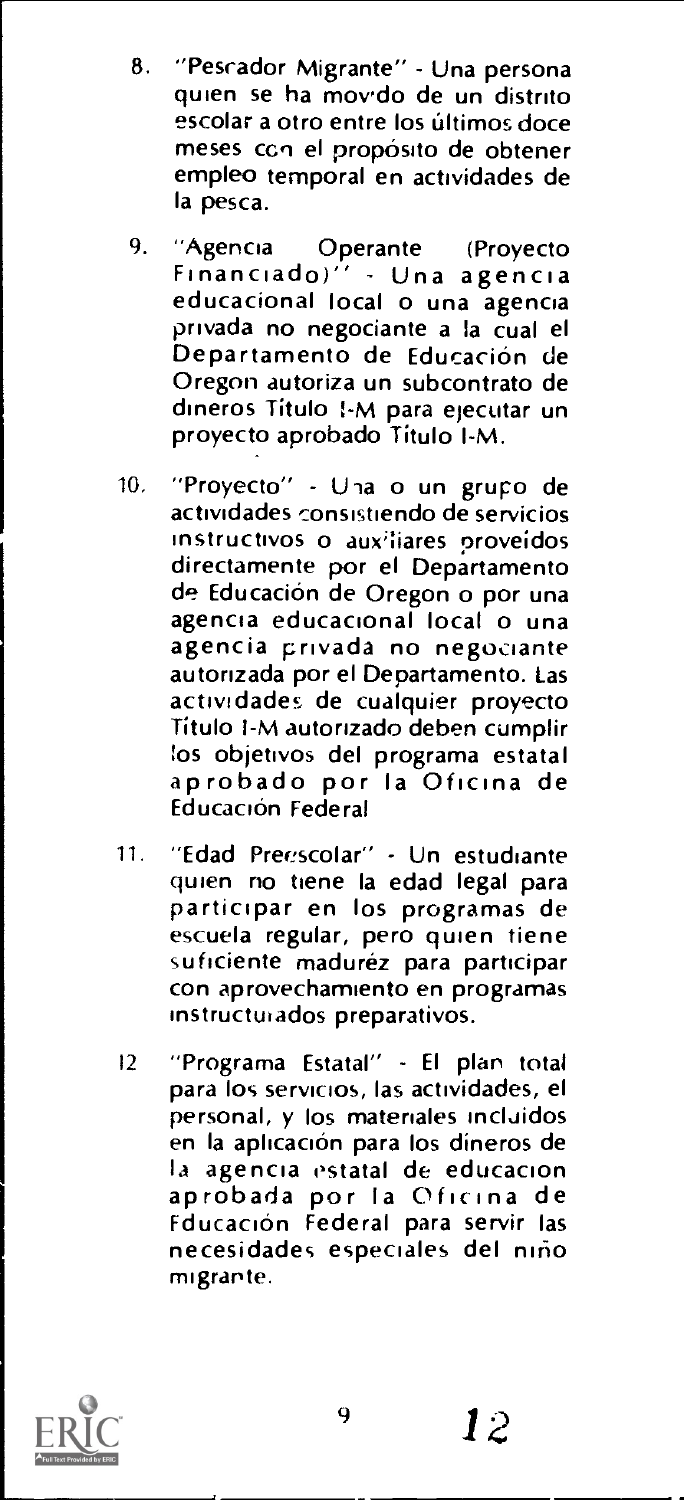- 8. "Pesrador Migrante" Una persona quien se ha movido de un distrito escolar a otro entre los últimos doce meses con el propósito de obtener empleo temporal en actividades de la pesca.
- 9. "Agencia Operante (Proyecto Financiado)" Una agencia educacional local o una agencia privada no negociante a !a cual el Departamento de Educación de Oregon autoriza un subcontrato de dineros Titulo I-M para ejecutar un proyecto aprobado Titulo I-M.
- 10. "Proyecto" Una o un grupo de actividades consistiendo de servicios instructivos o auxiliares proveídos directamente por el Departamento de Educación de Oregon o por una<br>agencia educacional local o una agencia privada no negociante autorizada por el Departamento. Las actividades de cualquier proyecto Titulo I-M autorizado deben cumplir !os objetivos del programa estatal aprobado por la Oficina de Educación Federal
- 11. "Edad Preescolar" Un estudiante participar en los programas de escuela regular, pero quien tiene suficiente maduréz para participar con aprovechamiento en programas instructuiados preparativos.
- IZ "Programa Estatal" El plan total para los servicios, las actividades, el personal, y los matenales incluidos en la aplicación para los díneros de<br>la agencia estatal de educacion aprobada por la Oficina de Fducacion Federal para servir las necesidades especiales del niño migrante.

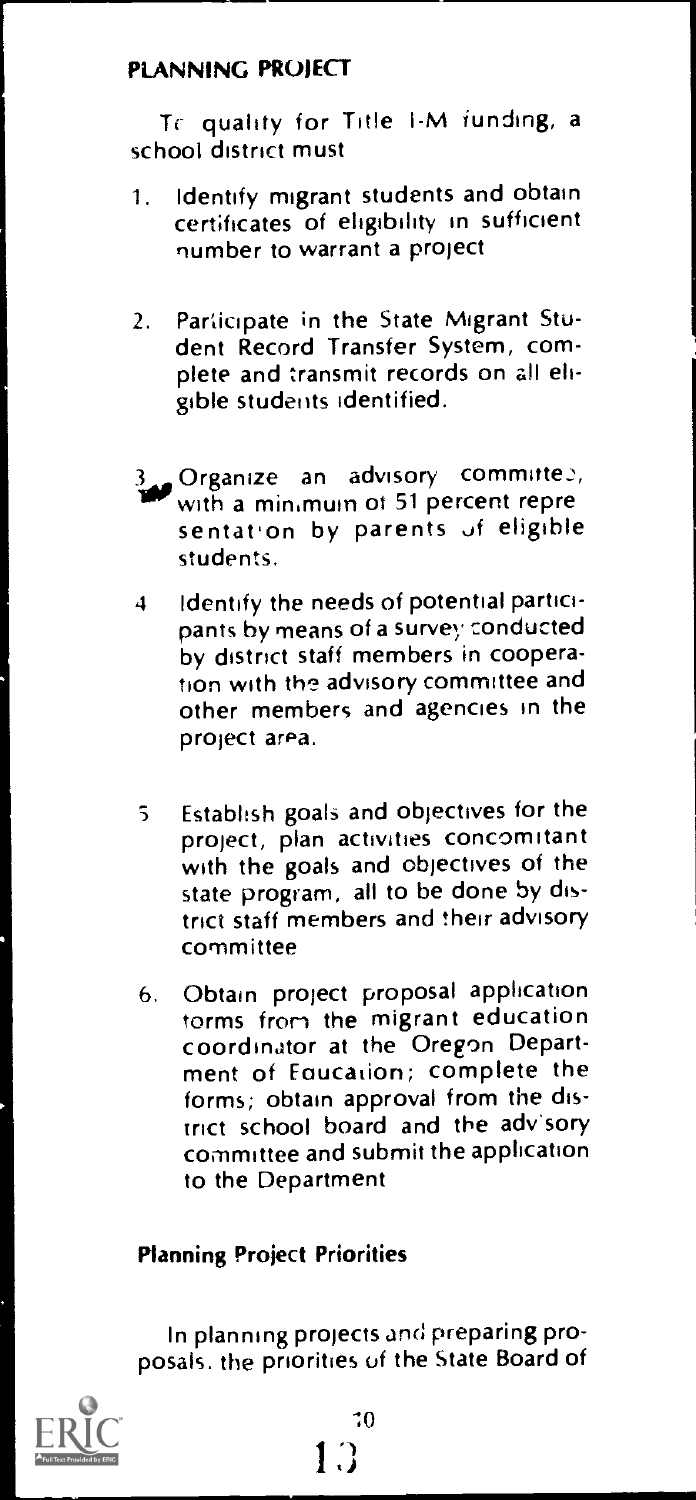# PLANNING PROJECT

Tr quality for Title 1-M funding, a school district must

- 1. Identify migrant students and obtain cert;ficates of eligibility in sufficient number to warrant a project
- 2. Participate in the State Migrant Student Record Transfer System, complete and transmit records on all eligible students identified.
- **Organize an advisory committe**2,<br>with a minimuin of 51 percent repre sentation by parents of eligible students.
- 4 Identify the needs of potential participants by means of a survey conducted by district staff members in cooperation with the advisory committee and other members and agencies in the project area.
- <sup>S</sup> Establish goals and objectives for the project, plan activities concomitant with the goals and objectives of the state program, all to be done by district staff members and their advisory committee
- 6. Obtain project proposal application torms from the migrant education coordinator at the Oregon Department of Eaucation; complete the forms; obtain approval from the district school board and the advisory committee and submit the application to the Department

### Planning Project Priorities

In planning projects and preparing proposals. the priorities of the State Board of

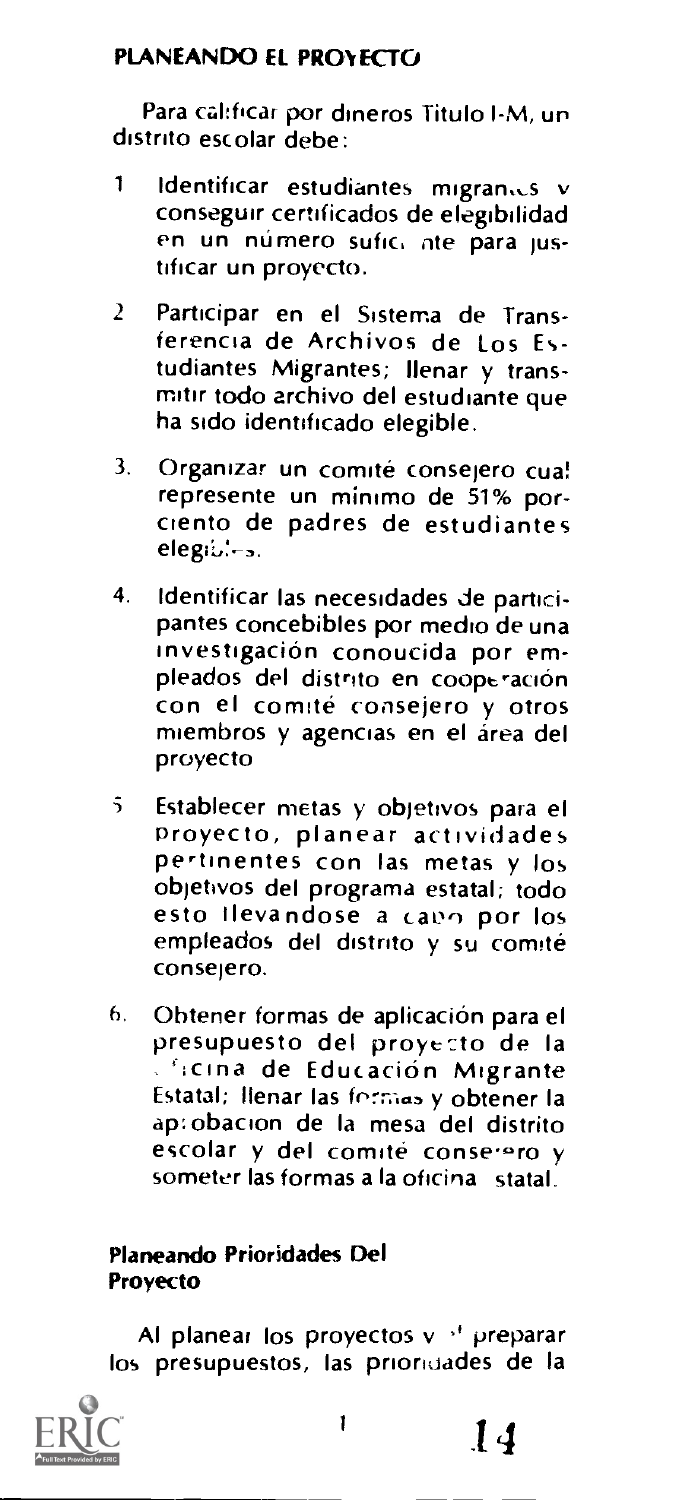# PLANEANDO EL PROYECTO

Para calificar por dineros Titulo I-M, un distrito escolar debe:

- 1 Identificar estudiantes migranius v conseguir certificados de elegibilidad en un numero sufic, ate para justificar un proyecto.
- <sup>2</sup> Participar en el Sisterna de Transferencia de Archivos de Los Estudiantes Migrantes; Ilenar y transmitir todo archivo del estudiante que ha sido identificado elegible.
- 3. Organizar un comité consejero cua! represente un minimo de 51% porciento de padres de estudiantes
- 4. Identificar las necesidades de participantes concebibles por medio de una investigation conoucida por empleados del distrito en cooperación con el comite consejero y otros miembros y agencias en el área del proyecto
- $\tilde{5}$ Establecer metas y objetivos para el Proyecto, planear actividades pertinentes con las metas y los objetivos del programa estatal; todo esto Ilevandose a cano por los empleados del distrito y su comité consejero.
- 6, Obtener formas de aplicacion para el presupuesto del proye-zto de Ia **Cricina de Educación Migrante** Estatal; llenar las formas y obtener la ap:obacion de Ia mesa del distrito escolar y del comité conserero y someter las formas a Ia oficina statal.

# Planeando Prioridades Del Proyecto

Al planear los proyectos v '' preparar los presupuestos, las prionuades de la

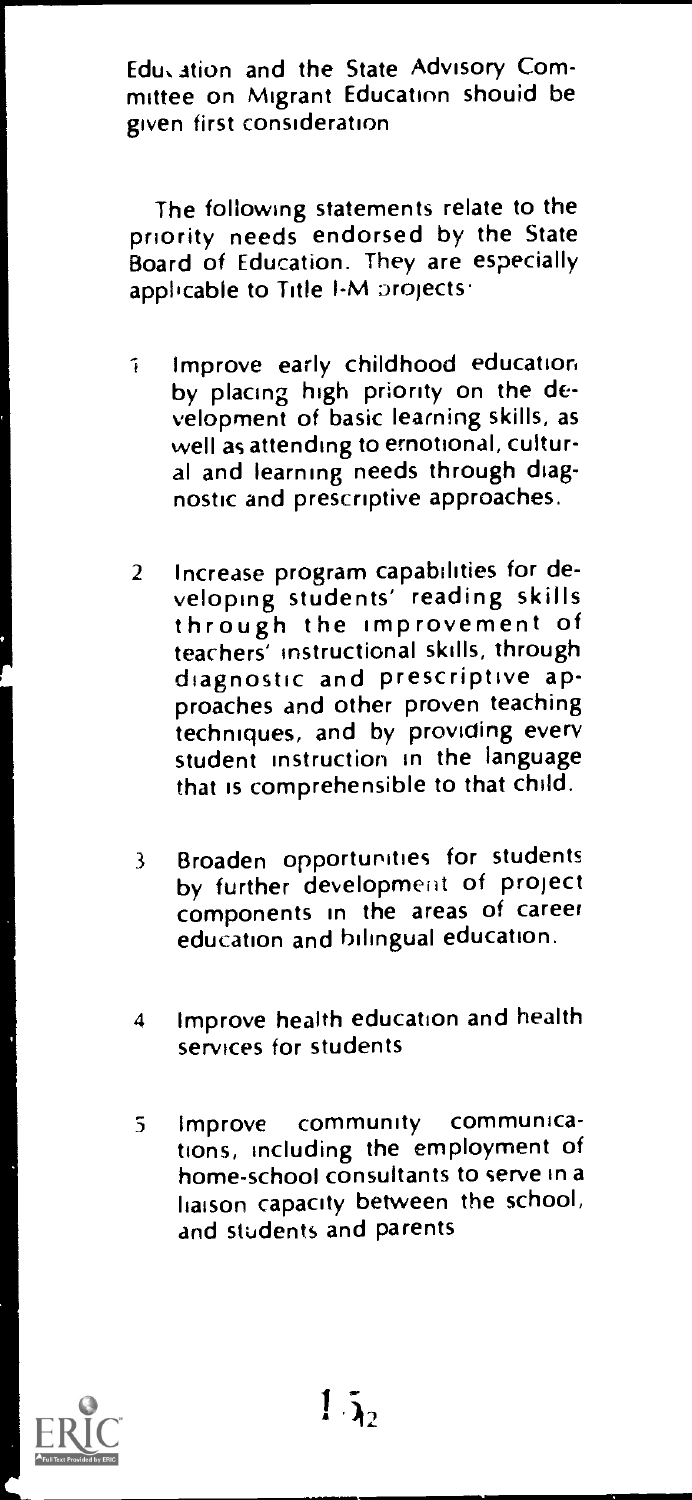Edu, ation and the State Advisory Committee on Migrant Education should be given first consideration

The following statements relate to the priority needs endorsed by the State Board of Education. They are especially applicable to Title I-M projects.

- 1 Improve early childhood education by placing high priority on the development of basic learning skills, as well as attending to emotional, cultural and learning needs through diagnostic and prescriptive approaches.
- 2 Increase program capabilities for developing students' reading skills through the improvement of<br>teachers' instructional skills, through diagnostic and prescriptive approaches and other proven teaching techniques, and by providing every student instruction in the language that is comprehensible to that child.
- <sup>3</sup> Broaden opportunities for students by further development of project components in the areas of career education and bilingual education.
- 4 Improve health education and health services for students
- <sup>5</sup> Improve community communications, including the employment of home-school consultants to serve in a liaison capacity between the school, and students and parents

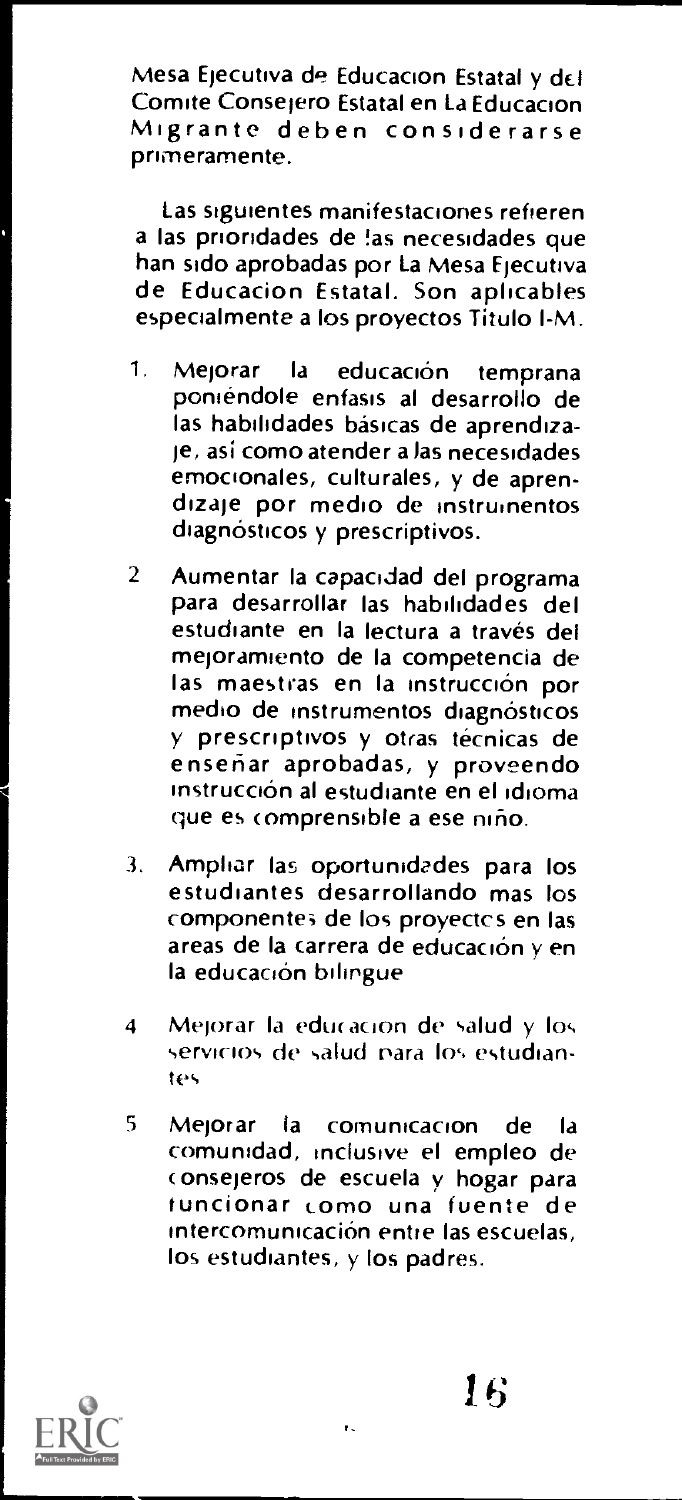Mesa Ejecutiva de Educacion Estatal y del<br>Comite Conseiero Estatal en La Educacion Migrante deben considerarse primeramente.

Las siguientes manifestaciones refieren a las priondades de !as necesidades que han sido aprobadas por La Mesa Ejecutiva de Educacion Estatal. Son aplicables especialmente a los proyectos Titulo l-M.

- 1. Mejorar la educación temprana poniendole enfasis al desarrollo de las habilidades basicas de aprendizaje, asi como atender a las necesidades emocionales, culturales, y de aprendizaje por medio de instrumentos diagnósticos y prescriptivos.
- 2 Aumentar la capacidad del programa para desarrollar las habilidades del estudiante en la lectura a través del mejoramiento de Ia competencia de las maestras en la instrucción por medio de instrumentos diagnósticos y prescriptivos y otras técnicas de enseriar aprobadas, y proveendo instrucción al estudiante en el idioma que es comprensible a ese niño.
- 3. Amphar las oportunidades para los estuchantes desarrollando mas los componente; de los proyectcs en las areas de la carrera de educación y en la educación bilingue
- 4 Mejorar la educación de salud y los servicios de salud para los estudiantes
- <sup>5</sup> Mejorar la comunicacion de Ia comunidad, inclusive el empleo de onsejeros de escuela y hogar para tuncionar como una fuente de Intercomunicación entre las escuelas, los estudiantes, y los padres.

ŧ.

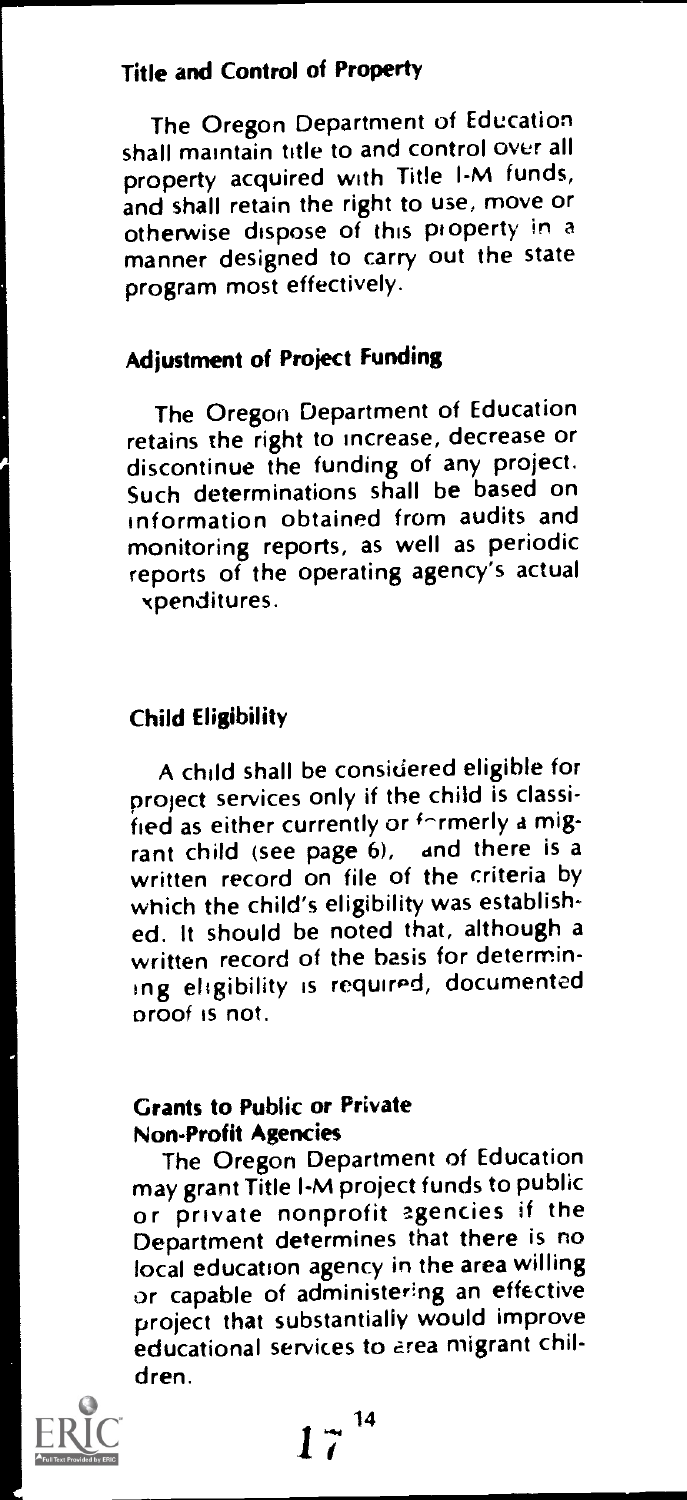# Title and Control of Property

The Oregon Department of Education shall maintain title to and control over all property acquired with Title l-M funds, and shall retain the right to use, move or otherwise dispose of this property in a manner designed to carry out the state program most effectively.

# Adjustment of Project Funding

The Oregon Department of Education retains the right to increase, decrease or discontinue the funding of any project. Such determinations shall be based on information obtained from audits and monitoring reports, as well as periodic reports of the operating agency's actual xpenditures.

# Child Eligibility

A child shall be considered eligible for project services only if the child is classified as either currently or formerly a migrant child (see page 6), and there is a written record on file of the criteria by which the child's eligibility was established. it should be noted that, although a written record of the basis for determining eligibility is required, documented proof is not.

# Grants to Public or Private Non-Profit Agencies

The Oregon Department of Education may grant Title l-M project funds to public or private nonprofit agencies if the Department determines that there is no local education agency in the area willing or capable of administering an effective project that substantially would improve educational services to area migrant children.

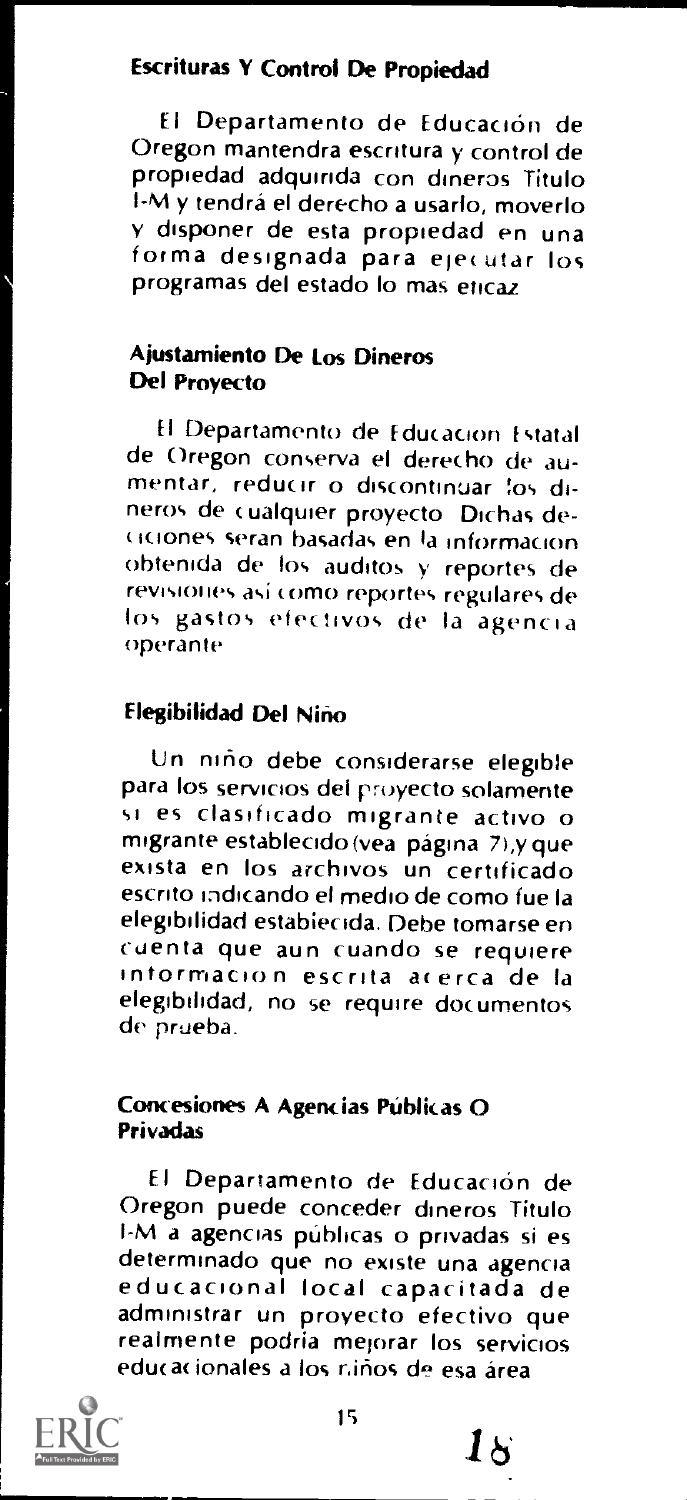### Escrituras Y Control De Propiedad

El Departamento de Educación de Oregon mantendra escritura y control de propiedad adquinda con dineros Titulo I-M y tendra el derecho a usarlo, moverlo v disponer de esta propiedad en una forma designada para ele( utar los programas del estado lo mas eticaz

### Ajustamiento De Los Dineros Del Provecto

El Departamento de Education Estatal de Oregon conserva el derecho de aumentar, reducir o discontinuar fos dineros de ( ualquier proyecto Dichas descones reran basadas en to information obtenida de los auditos y reportes de revisiones así como reportes regulares de los gastos efectivos de la agencia operante

### Elegibilidad Del Nino

Un nino debe considerarse elegible si es clasificado migrante activo o<br>migrante establecido(vea página 7),y que exista en los archivos un certificado escrito indicando el medio de como fue la elegibilidad establecida. Debe tomarse en cuenta que aun cuando se requiere intormacion escrita acerca de la elegibilidad, no se require documentos de prueba.

### Concesiones A Agencias Públicas O Privadas

El Departamento de Educación de Oregon puede conceder dmeros Titulo I-M a agencias públicas o privadas si es<br>determinado que no existe una agencia educacional local capacitada de administrar un proyecto efectivo que realmente podria mejorar los servicios educacionales a los niños de esa área



 $1\sigma$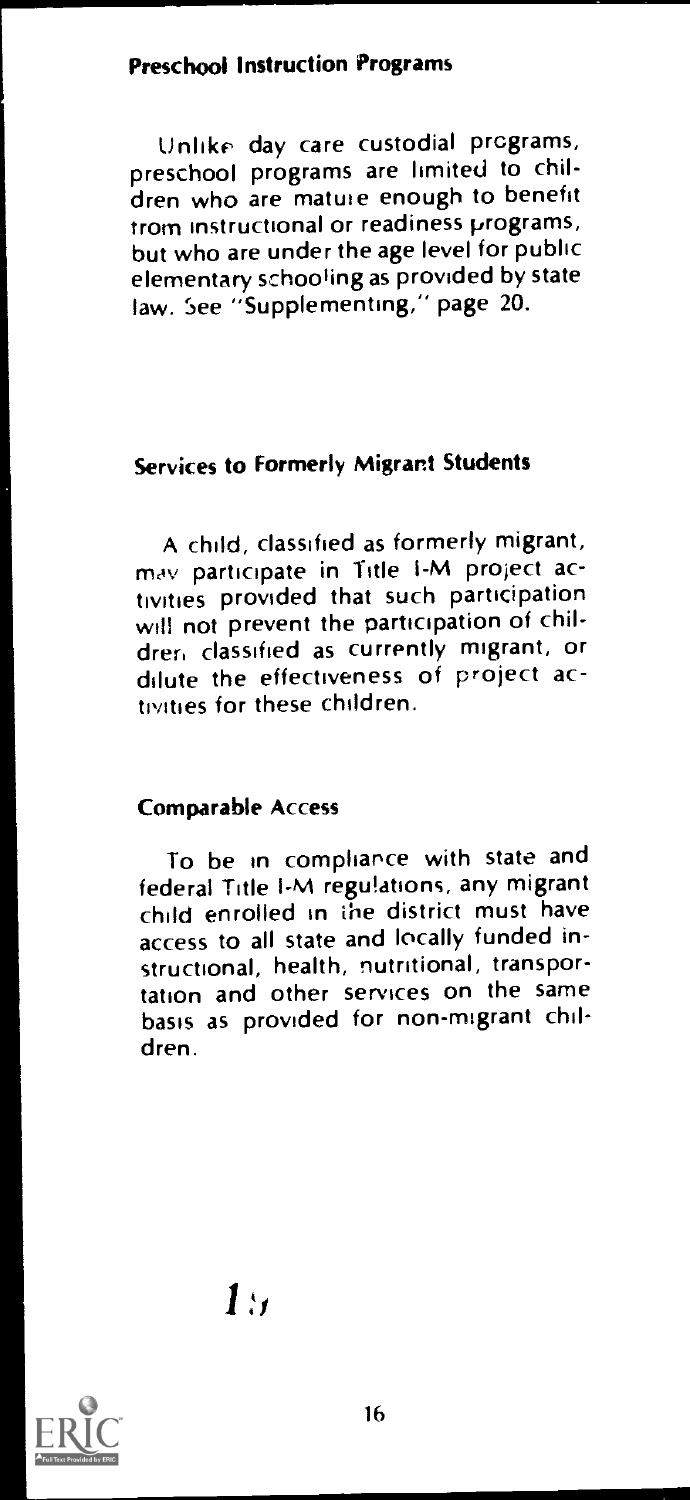# Preschool Instruction Programs

Unlike day care custodial programs, preschool programs are limited to children who are mature enough to benefit trom instructional or readiness programs, but who are under the age level for public elementary schooling as provided by state law. See "Supplementing," page 20.

# Services to Formerly Migrant Students

A child, classified as formerly migrant, may participate in Title I-M project activities provided that such participation will not prevent the participation of children classified as currently migrant, or dilute the effectiveness of project activities for these children.

# Comparable Access

To be in compliance with state and federal Title l-M regulations, any migrant child enrolled in the district must have access to all state and locally funded instructional, health, nutritional, transportation and other services on the same basis as provided for non-migrant children.

1.,

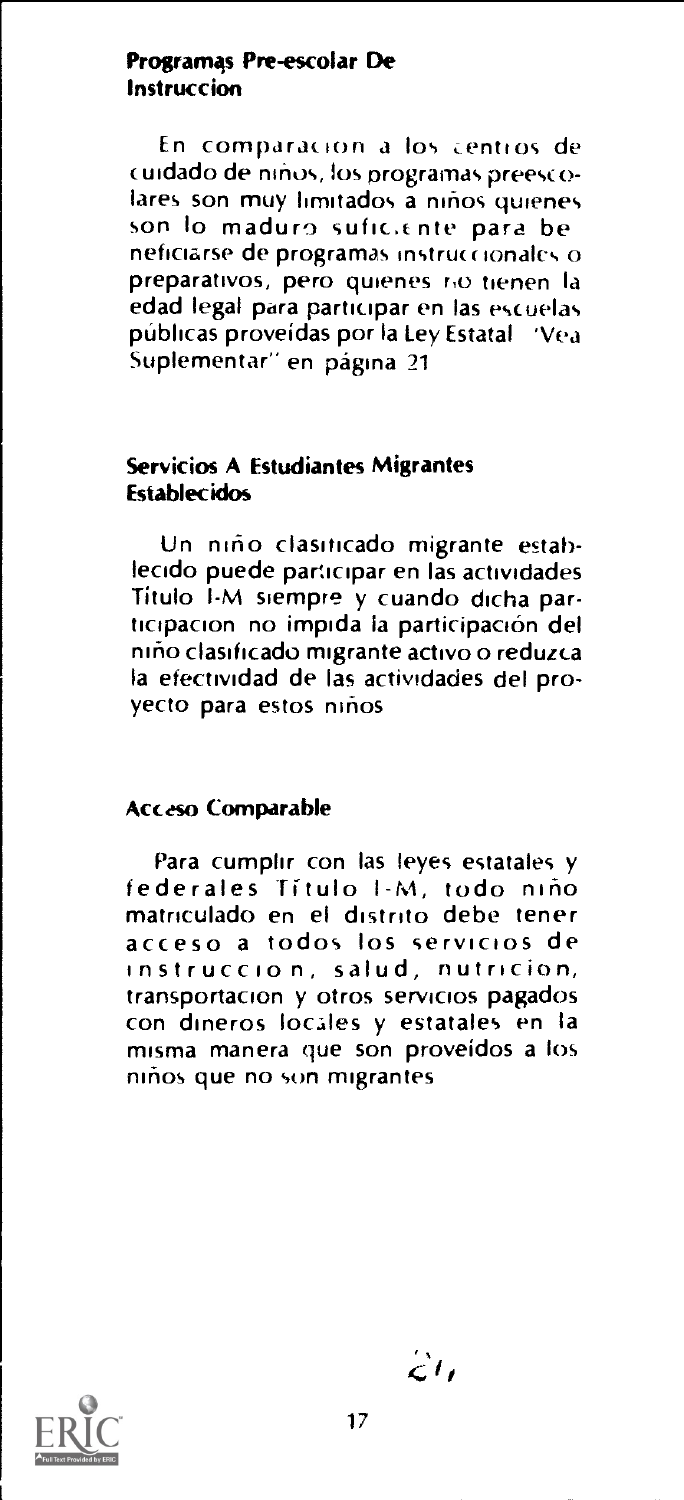### Programas Pre-escolar De Instruction

En comparacion a los centros de cuidado de niños, los programas preesco-<br>lares: son muy limitados: a niños quienes son lo maduro sufic.ente para be neficiarse de programas instruccionales o preparativos, Pero quienes r,o tienen la edad legal para participar en las escuelas publicas proveidas por la Ley Estatal 'Vea Suplementar" en página 21

### Servicios A Estudiantes Migrantes Establecidos

Un niño clasiticado migrante establecido puede participar en las actividades Titulo I-M siempre y cuando dicha participacion no impida la participación del niho clasificado migrante activo o reduzca la efectividad de las actividades del provecto para estos niños

### Acceso Comparable

Para cumplir con las !eyes estatales y federales Titulo I-M, todo nino matnculado en el distrito debe tener acceso a todos los servicios de instruccion, salud, nutricion, transportacion y otros servicios pagados con dmeros locales y estatales en la misma manera que son proveidos a los ninos que no sun migrantes



 $\mathcal{L}$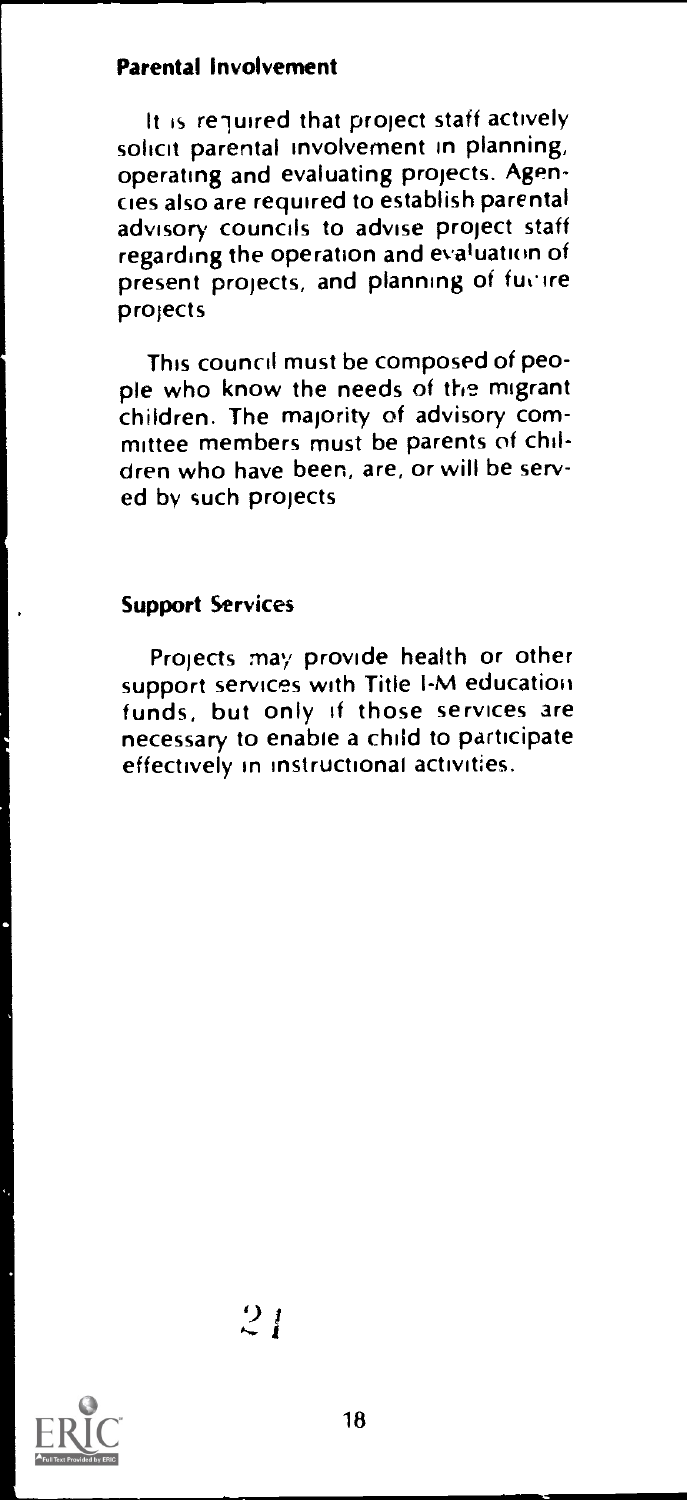# Parental Involvement

It is required that project staff actively solicit parental involvement in planning, operating and evaluating projects. Agencies also are required to establish parental advisory councils to advise project staff regarding the operation and evaluation of present projects, and planning of fuctive projects

This council must be composed of people who know the needs of the migrant children. The majority of advisory committee members must be parents of children who have been, are, or will be served by such projects

#### Support Services

Projects may provide health or other support services with Title I-M education funds, but only if those services are necessary to enable a child to participate effectively in instructional activities.

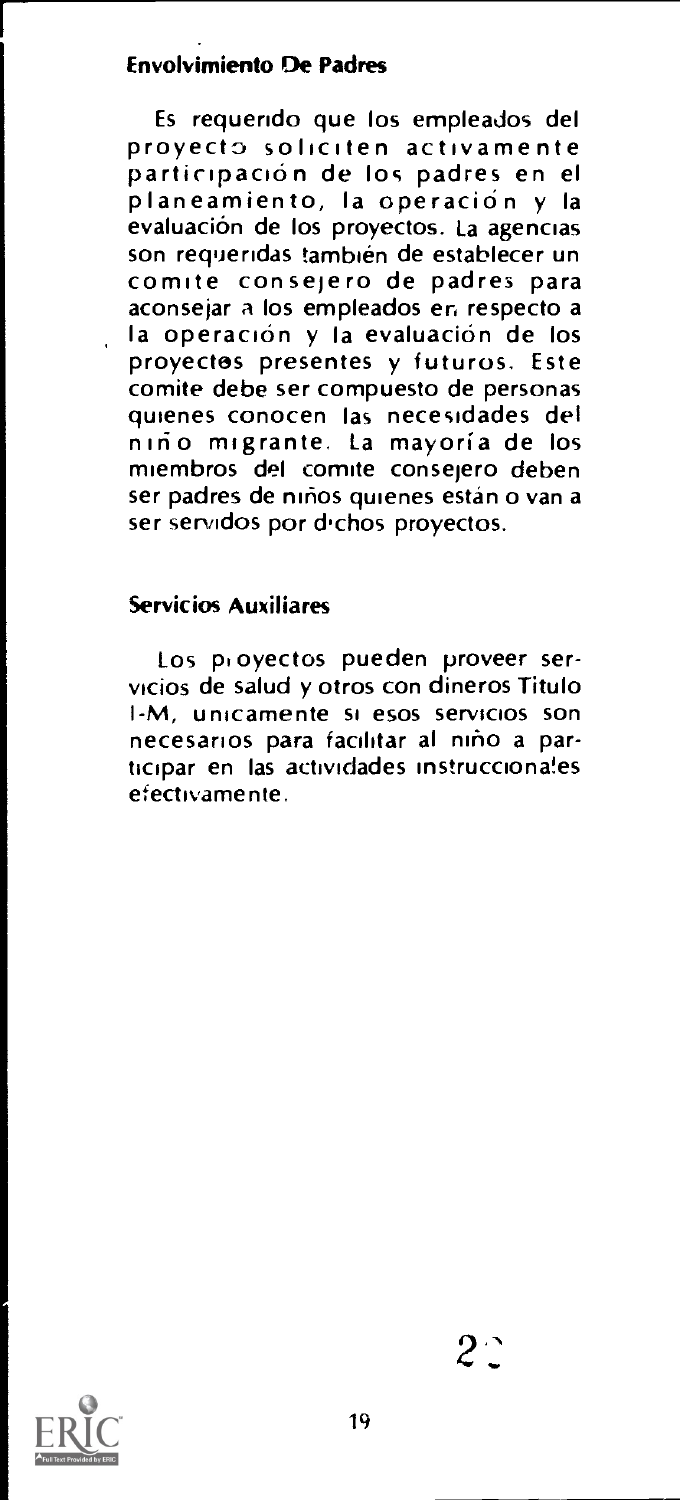# Envolvimiento De Padres

Es requendo que los empleados del proyecto soliciten activamente participación de la participación y la evaluación de los proyectos. La agencias<br>son requeridas también de establecer un comite consejero de padres para aconsejar a los empleados en respecto a la opéración y la evaluación de los proyectos presentes y futuros. Este comite debe ser compuesto de personas<br>quienes conocen las necesidades del niño migrante. La mayoría de los miembros del comite consejero deben ser padres de niños quienes están o van a ser servidos por dichos proyectos.

### Servicios Auxiliares

Los pi oyectos pueden proveer servicios de salud y otros con dineros Titulo I-M, unicamente si esos servicios son necesarios para facilitar al nino a participar en las actividades mstrucciona!es efectlyamente.

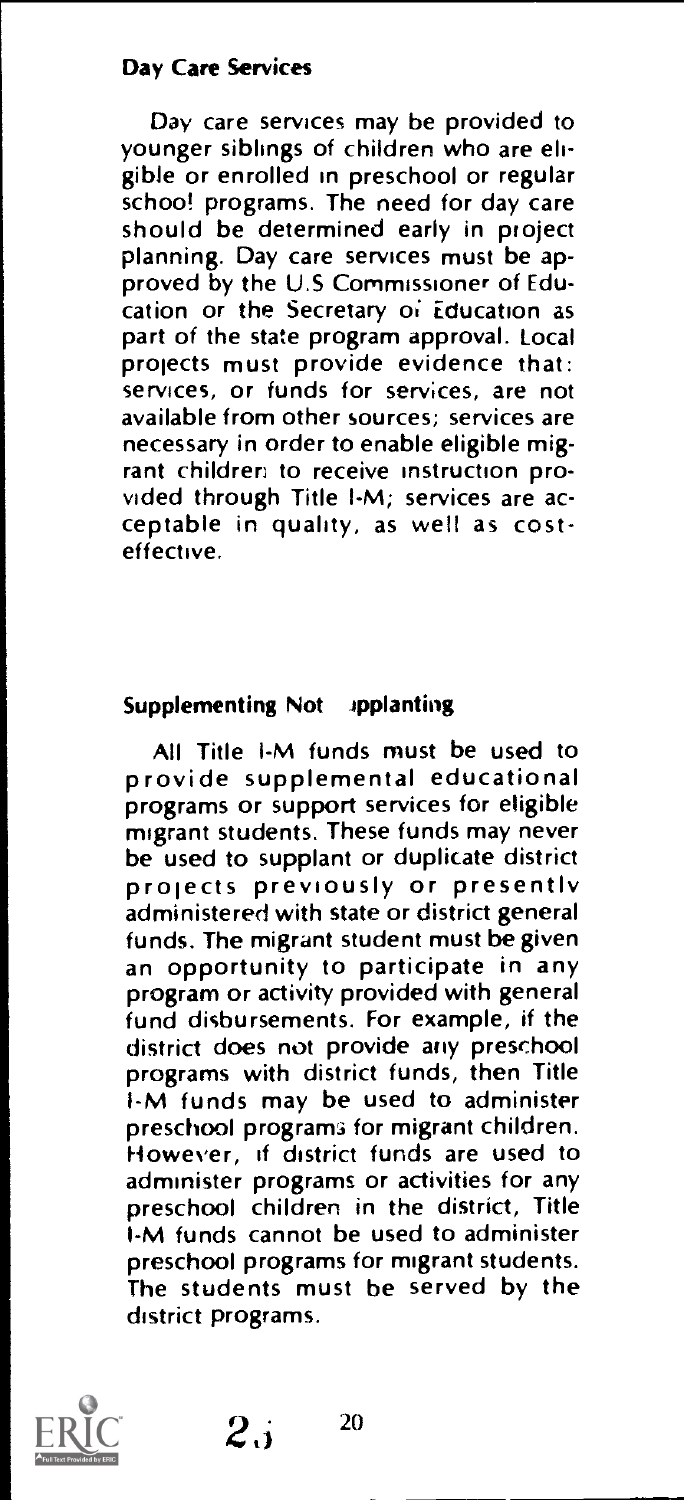### Day Care Services

Day care services may be provided to younger siblings of children who are eligible or enrolled in preschool or regular school programs. The need for day care should be determined early in project planning. Day care services must be approved by the U.S Commissioner of Education or the Secretary o; Education as part of the state program approval. Local projects must provide evidence that: services, or funds for services, are not available from other sources; services are necessary in order to enable eligible migrant children to receive instruction provided through Title I-M; services are acceptable in quality, as well as costeffective.

#### Supplementing Not applanting

All Title i-M funds must be used to provide supplemental educational programs or support services for eligible migrant students. These funds may never<br>be used to supplant or duplicate district projects previously or presently administered with state or district general funds. The migrant student must be given an opportunity to participate in any program or activity provided with general fund disbursements. For example, if the district does not provide any preschool programs with district funds, then Title I-M funds may be used to administer preschool programs for migrant children. However, if district funds are used to administer programs or activities for any preschool children in the district, Title I-M funds cannot be used to administer preschool programs for migrant students. The students must be served by the district programs.



 $2.1^{20}$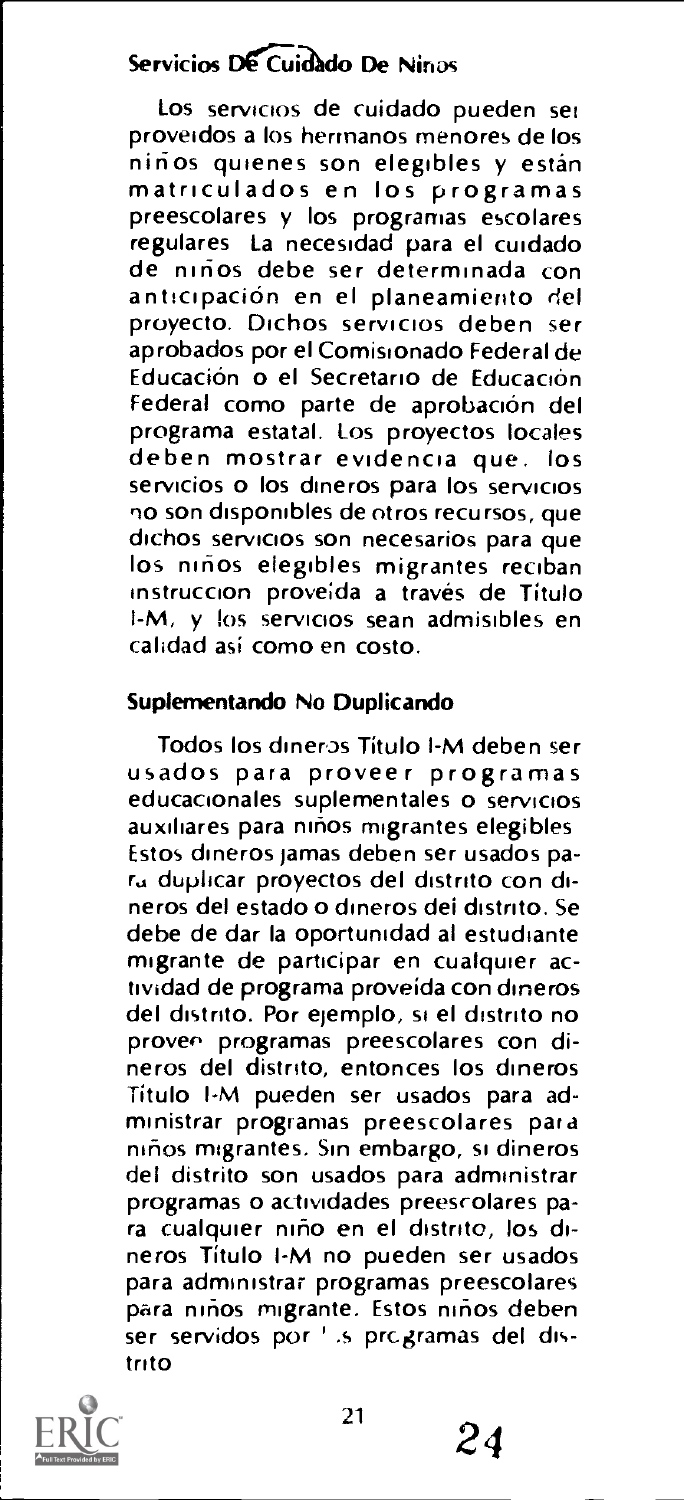# Servicios De Cuidado De Ninos

Los servicios de cuidado pueden set proveidos a los hermanos menores de los<br>niños quienes son elegibles y están matriculados en los programas preescolares y los programas escolares regulares La necesidad para el cuidado de nirios debe ser determinada con anticipacion en el planeamiento del proyecto. Dichos servicios deben ser aprobados por el Comisionado Federal de Educación o el Secretario de Educación Federal como parte de aprobación del<br>programa estatal. Los proyectos locales deben mostrar evidencia que. los servicios o los dineros para los servicios no son disponibles de otros recursos, que dichos servicios son necesarios para que los niños elegibles migrantes reciban instruccion proveída a través de Título I-M, y los servicios sean admisibles en calidad asi como en costo.

### Supiementando No Duplicando

Todos los dineros Titulo l-M deben ser usados para proveer programas educacionales suplementales o servicios auxiliares para niños migrantes elegibles Estos dineros jamas deben ser usados para duplicar proyectos del distrito con dineros del estado o dineros dei distnto. Se debe de dar la oportunidad al estudiante migrante de participar en cualquier actividad de programa proveida con dineros del distrito. Por ejemplo, si el distrito no proven programas preescolares con dineros del distnto, entonces los dineros Titulo I-M pueden ser usados para administrar programas preescolares par a mhos migrantes. Sin embargo, si dineros del distrito son usados para administrar programas o actividades preescolares para cualquier nino en el distrito, los dineros Titulo I-M no pueden ser usados para administrar programas preescolares para ninos migrante. Estos ninos deben ser servidos por ' .s programas del distrito



21

24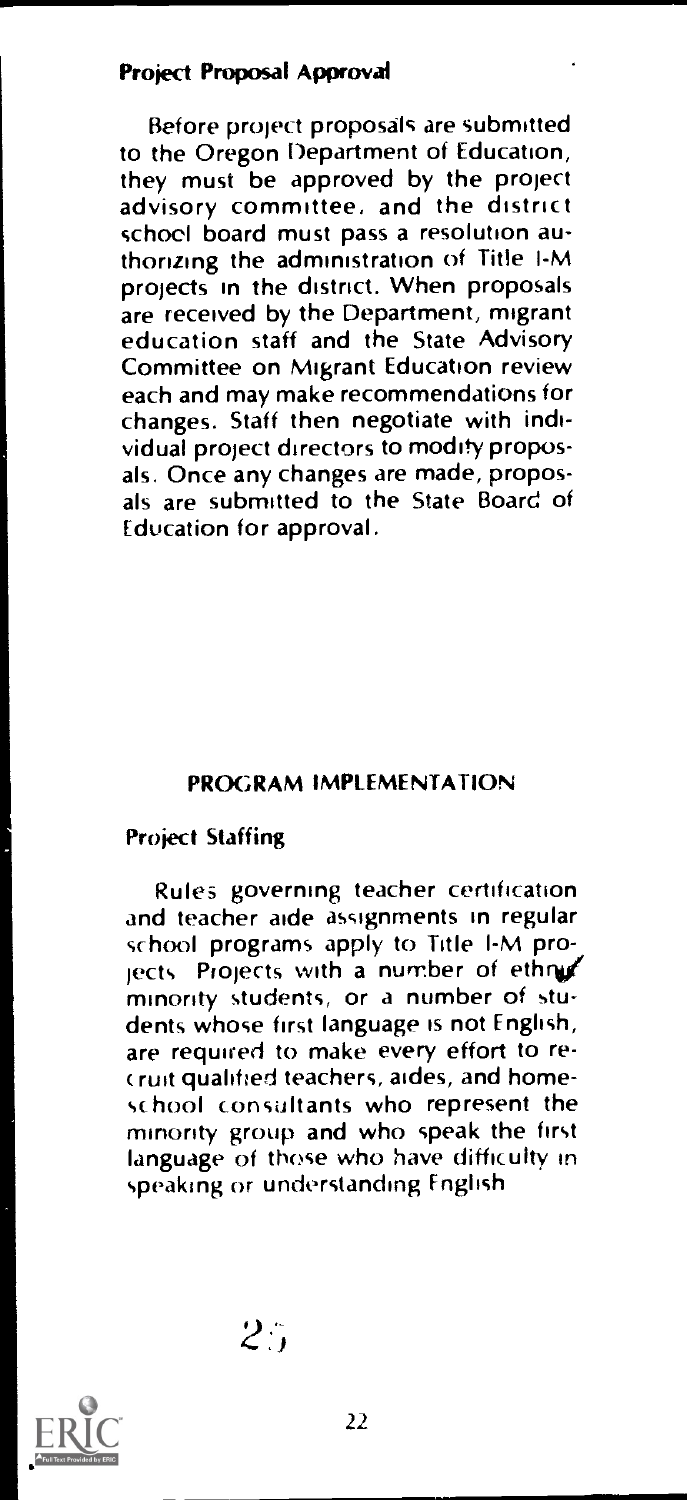# Project Proposal Approval

Before project proposals are submitted to the Oregon Department of Education,<br>they must be approved by the project advisory committee, and the district school board must pass a resolution authorizing the administration of Title I-M projects in the district. When proposals are received by the Department, migrant education staff and the State Advisory Committee on Migrant Education review each and may make recommendations for changes. Staff then negotiate with individual project directors to modify proposals. Once any changes are made, proposals are submitted to the State Board of Education for approval.

# PROGRAM IMPLEMENTATION

# Project Staffing

Rules governing teacher certification and teacher aide assignments in regular school programs apply to Title I-M pro $i$ ects. Projects with a number of ethnic minority students, or a number of students whose first language is not English, are required to make every effort to rerust qualified teachers, aides, and homeschool consultants who represent the minority group and who speak the first language of these who have difficulty in speaking or understanding English

 $2.7$ 

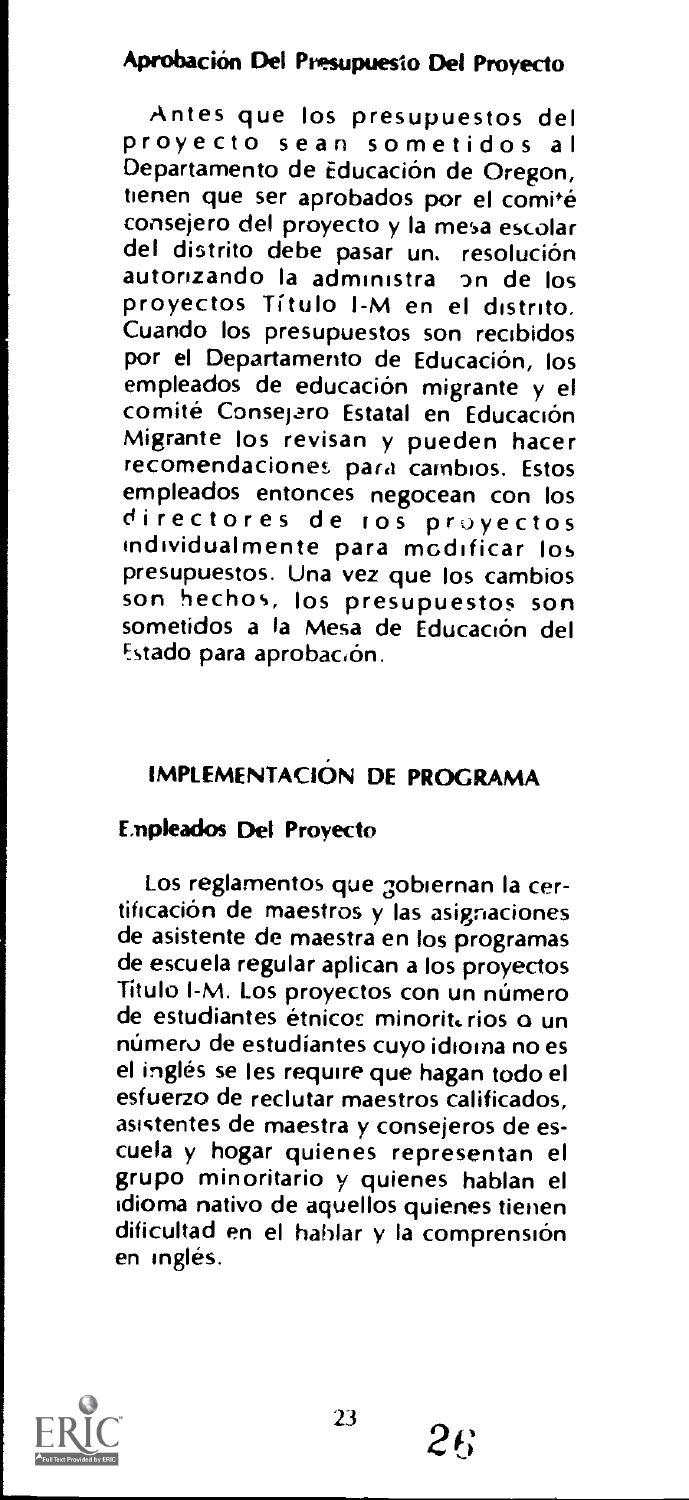# Aprobacion Del Presupuesio Del Proyecto

Antes que los presupuestos del proyecto Sean sometidos al Departamento de Educación de Oregon, tienen que ser aprobados por el comité consejero del proyecto y Ia mesa escolar del distrito debe pasar un, resolución autorizando la administra on de los proyectos Titulo I-M en el distrito. Cuando los presupuestos son recibidos por el Departamento de Educación, los empleados de educación migrante y el<br>comité Consejero Estatal en Educación Migrante los revisan y pueden hacer recomendaciones para cambios. Estos<br>empleados entonces negocean con los directores de tos provectos individualmente para modificar los son hechos, los presupuestos son sometidos a la Mesa de Educación del Estado para aprobación.

# IMPLEMENTACION DE PROGRAMA

### Empleados Del Proyecto

Los reglamentos que gobiernan Ia certificacion de maestros y las asigraciones de asistente de maestra en los programas de escuela regular aplican a los proyectos Titulo I-M. Los proyectos con un número de estudiantes étnicos minoriterios o un número de estudíantes cuyo idioma no es el ingles se les require que hagan todo el esfuerzo de reclutar maestros calificados, asictentes de maestra y consejeros de escuela y hogar quienes representan el grupo minoritario y quienes hablan el idioma nativo de aquellos quienes tienen dificultad en el hablar y la comprensión en ingles.

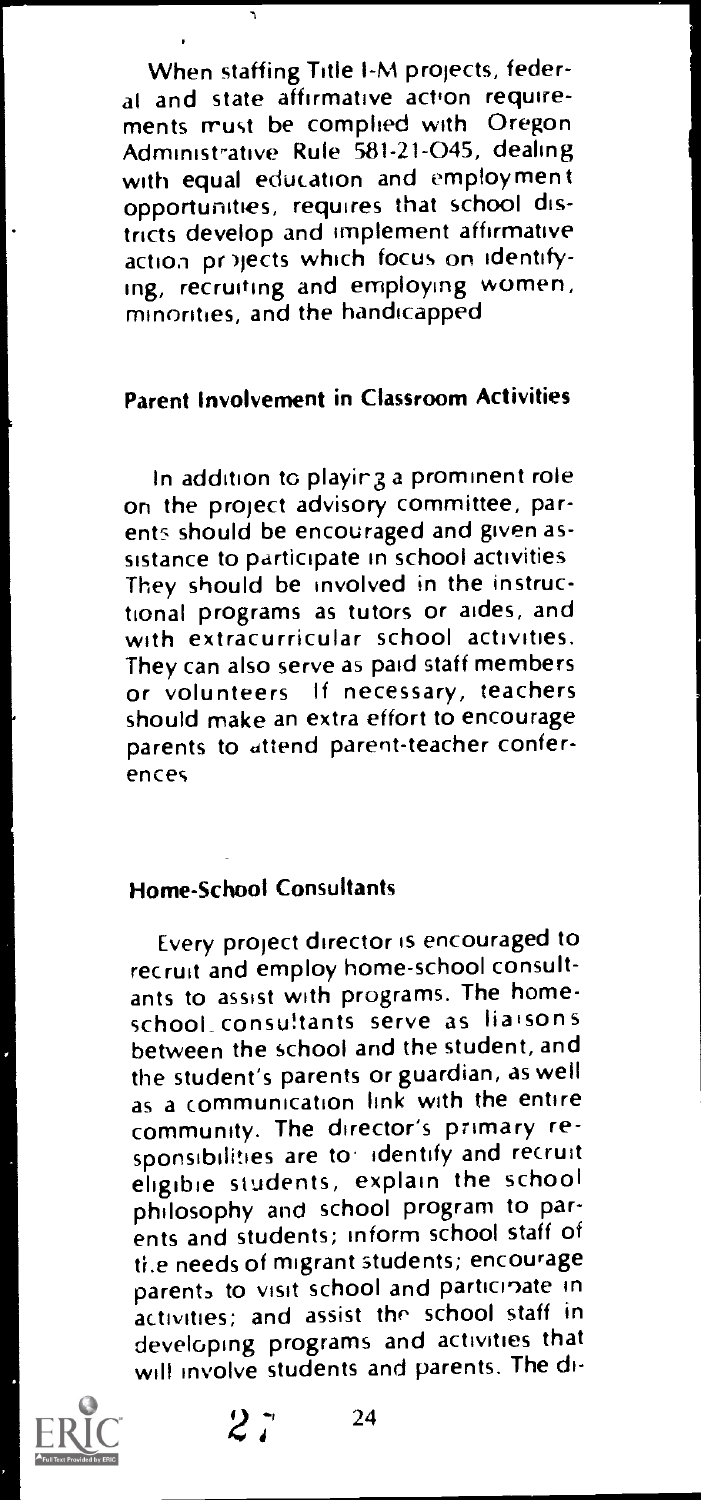When staffing Title I-M projects, federal and state affirmative action requirements must be complied with Oregon Administrative Rule 581-21-045, dealing<br>with equal education and employment opportunities, requires that school districts develop and implement affirmative action pr )jects which focus on identifying, recruiting and employing women, minorities, and the handicapped

 $\sqrt{2}$ 

# Parent Involvement in Classroom Activities

In addition to playing a prominent role on the project advisory committee, parents should be encouraged and given assistance to participate in school activities They should be involved in the instructional programs as tutors or aides, and with extracurricular school activities. They can also serve as paid staff members or volunteers If necessary, teachers should make an extra effort to encourage parents to attend parent-teacher conferences

### Home-School Consultants

Every project director is encouraged to recruit and employ home-school consultants to assist with programs. The homeschool\_ consultants serve as liaisons between the school and the student, and the student's parents or guardian, as well as a communication link with the entire community. The director's primary responsibilities are to identify and recruit eligible students, explain the school philosophy and school program to parents and students; inform school staff of ti.e needs of migrant students; encourage parents to visit school and participate in activities; and assist the school staff in developing programs and activities that will involve students and parents. The di-



 $2^{\frac{1}{2}}$  24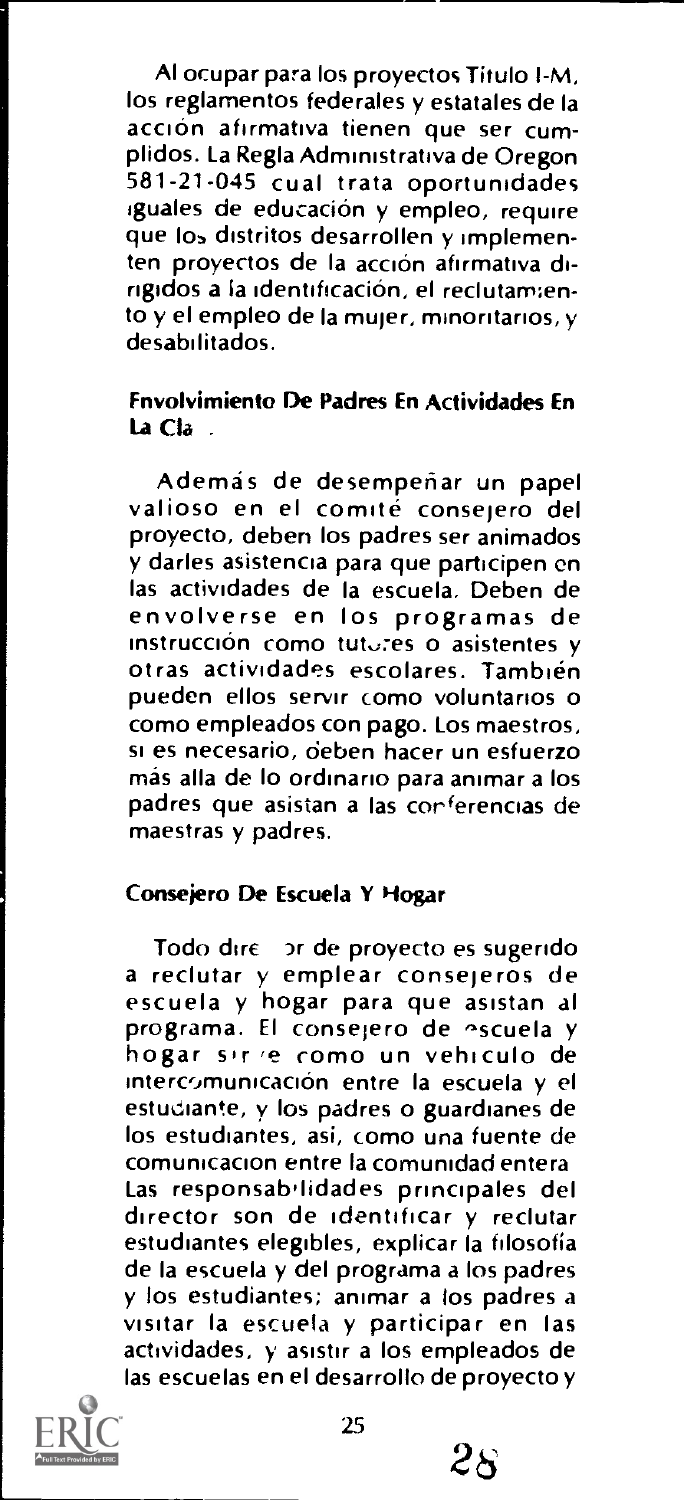Al ocupar para los proyectos Titulo I-M, los reglamentos federales y estatales de Ia acción afirmativa tienen que ser cumplidos. La Regla Administrativa de Oregon 581-21-045 cual trata oportunidades iguales de educación y empleo, require que los distritos desarrollen y implementen proyectos de la acción afirmativa dirigidos a la identificación, el reclutamiento  $y$  el empleo de la mujer, minoritarios,  $y$ desabilitados.

### Fnvolvimiento De Padres En Actividades En La Cla .

Además de desempeñar un papel<br>valioso en el comité consejero del proyecto, deben los padres ser animados y darles asistencia para que participen en las actividades de Ia escuela. Deben de envolverse en los programas de instrucción como tutores o asistentes y otras actividades escolares. También pueden ellos servir como voluntanos o como empleados con pago. Los maestros, si es necesario, oeben hacer un esfuerzo más alla de lo ordinario para animar a los padres que asistan a las corferencias de maestras y padres.

### Consejero De Escuela Y Hogar

Todo dire 3r de proyecto es sugendo a reclutar y emplear consejeros de escuela y hogar para que asistan al<br>programa. El consejero de escuela y hogar sir e como un vehiculo de intercomunicación entre la escuela y el estudiante, y los padres o guardianes de los estudiantes, asi, como una fuente de comunicacion entre Ia comunidad entera Las responsab'lidades principales del director son de identificar y reclutar estudiantes elegibles, explicar la filosofía de Ia escuela y del programa a los padres y los estudiantes; animar a los padres a visitar Ia escuela y participar en las actividades, y asistir a los empleados de las escuelas en el desarrollo de proyecto y



 $2\kappa$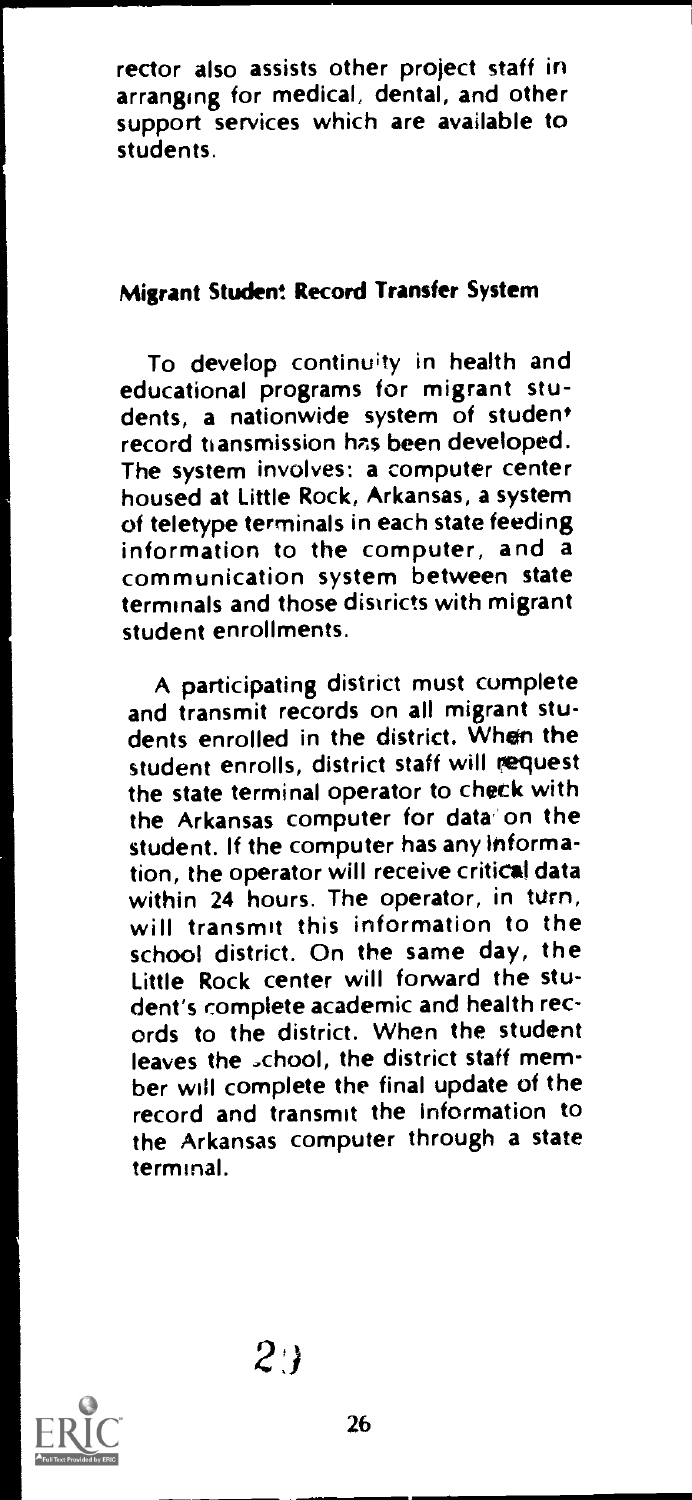rector also assists other project staff in arranging for medical, dental, and other support services which are available to students.

# Migrant Student Record Transfer System

To develop continuity in health and educational programs for migrant students, a nationwide system of student record transmission has been developed. The system involves: a computer center housed at Little Rock, Arkansas, a system of teletype terminals in each state feeding information to the computer, and a communication system between state terminals and those districts with migrant student enrollments.

A participating district must complete and transmit records on all migrant students enrolled in the district. When the student enrolls, district staff will request the state terminal operator to check with the Arkansas computer for data on the student. If the computer has any information, the operator will receive critical data<br>within 24 hours. The operator, in turn, will transmit this information to the school district. On the same day, the Little Rock center will forward the student's complete academic and health records to the district. When the student leaves the school, the district staff member will complete the final update of the record and transmit the Information to the Arkansas computer through a state terminal.

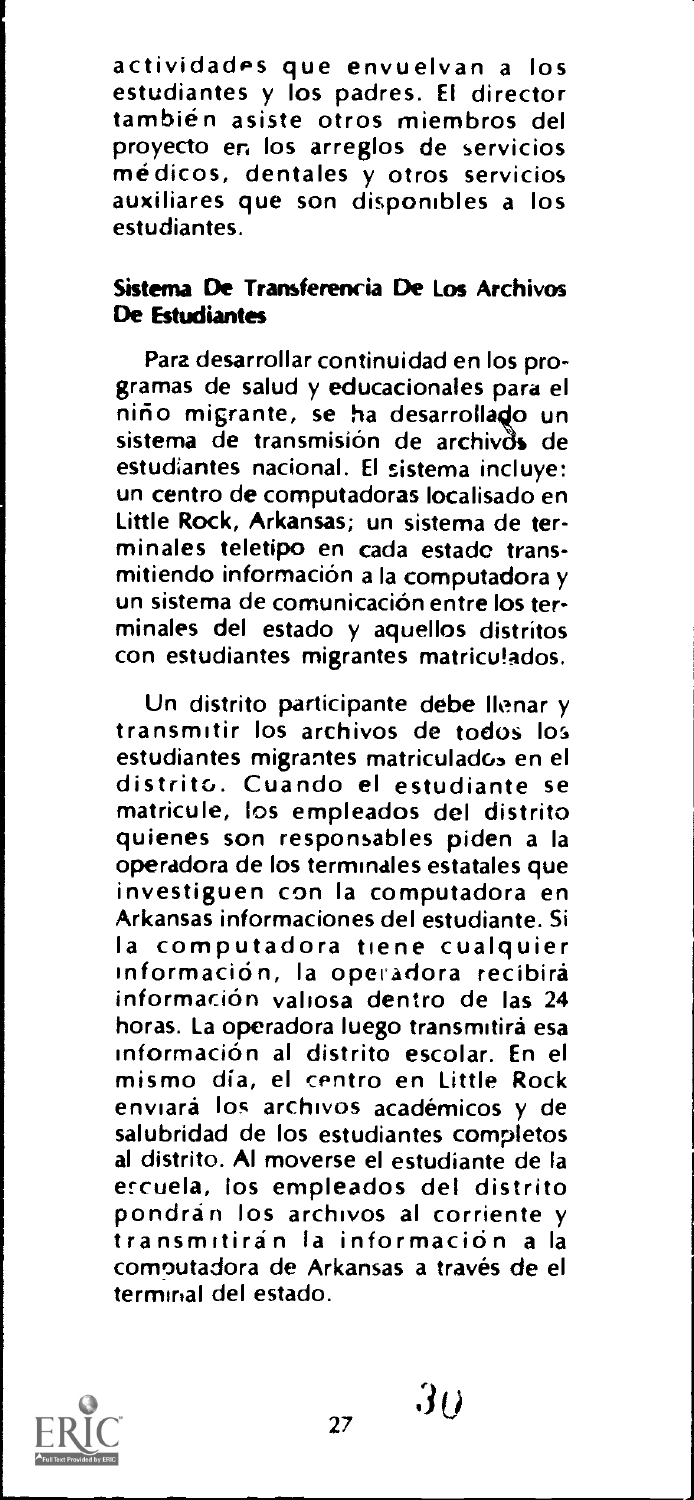actividades que envuelvan a los estudiantes y los padres. El director tambien asiste otros miembros del proyecto en los arreglos de servicios<br>médicos, dentales y otros servicios auxiliares que son disponibles a los estudiantes.

### Sistema De Transferencia De Los Archivos De Estudiantes

Para desarrollar continuidad en los programas de salud y educacionales para el nirio migrante, se ha desarrolla4o un sistema de transmisión de archivos de estudiantes nacional. El sistema incluye: un centro de computadoras localisado en Little Rock, Arkansas; un sistema de terminales teletipo en cada estade transmitiendo informacion a Ia computadora y un sistema de comunicacion entre los terminales del estado y aquellos distritos con estudiantes migrantes matriculados,

Un distrito participante debe Ilenar y transmitir los archivos de todos los<br>estudiantes migrantes matriculados en el distrito. Cuando el estudiante se matricule, los empleados del distrito quienes son responsables piden a Ia operadora de los terminales estatales que investiguen con la computadora en Arkansas informaciones del estudiante. Si Ia computadora tiene cualquier información, la operadora recibirá informacion valiosa dentro de las 24 horas. La operadora luego transmitirá esa informacion al distrito escolar. En el mismo dia, el centro en Little Rock enviara los archivos academicos y de salubridad de los estudiantes completos al distrito. Al moverse el estudiante de la ercuela, los empleados del distrito pondran los archivos al corriente y transmitiran la informacion a Ia comoutadora de Arkansas a través de el terminal del estado.



 $30$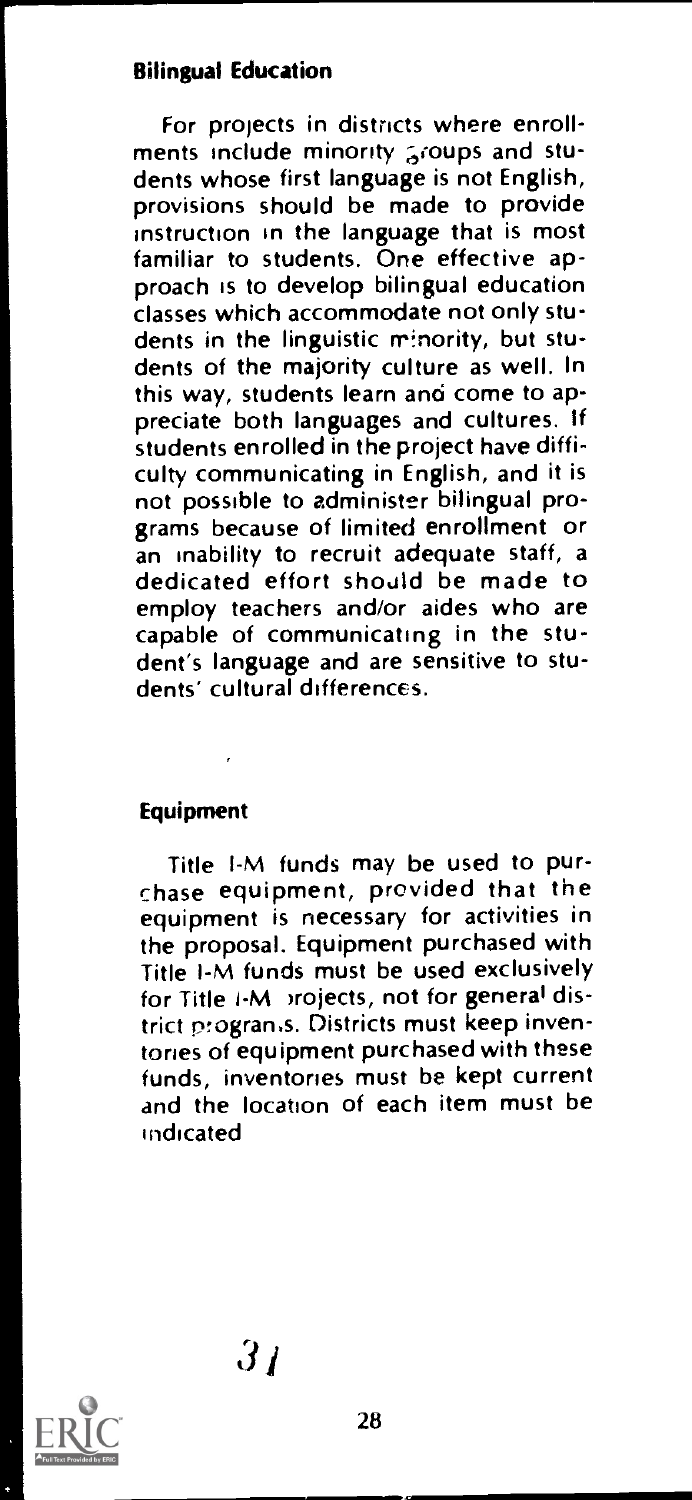### Bilingual Education

For projects in districts where enrollments include minority groups and students whose first language is not English, provisions should be made to provide instruction in the language that is most familiar to students. One effective approach is to develop bilingual education classes which accommodate not only students in the linguistic minority, but students of the majority culture as well. In this way, students learn and come to appreciate both languages and cultures. If students enrolled in the project have difficulty communicating in English, and it is not possible to administer bilingual programs because of limited enrollment or<br>an inability to recruit adequate staff, a dedicated effort should be made to employ teachers and/or aides who are capable of communicating in the student's language and are sensitive to students' cultural differences.

### **Equipment**

Title I-M funds may be used to pur- chase equipment, provided that the equipment is necessary for activities in the proposal. Equipment purchased with Title I-M funds must be used exclusively for Title I-M projects, not for general district progran.s. Districts must keep inventories of equipment purchased with these funds, inventories must be kept current and the location of each item must be indicated

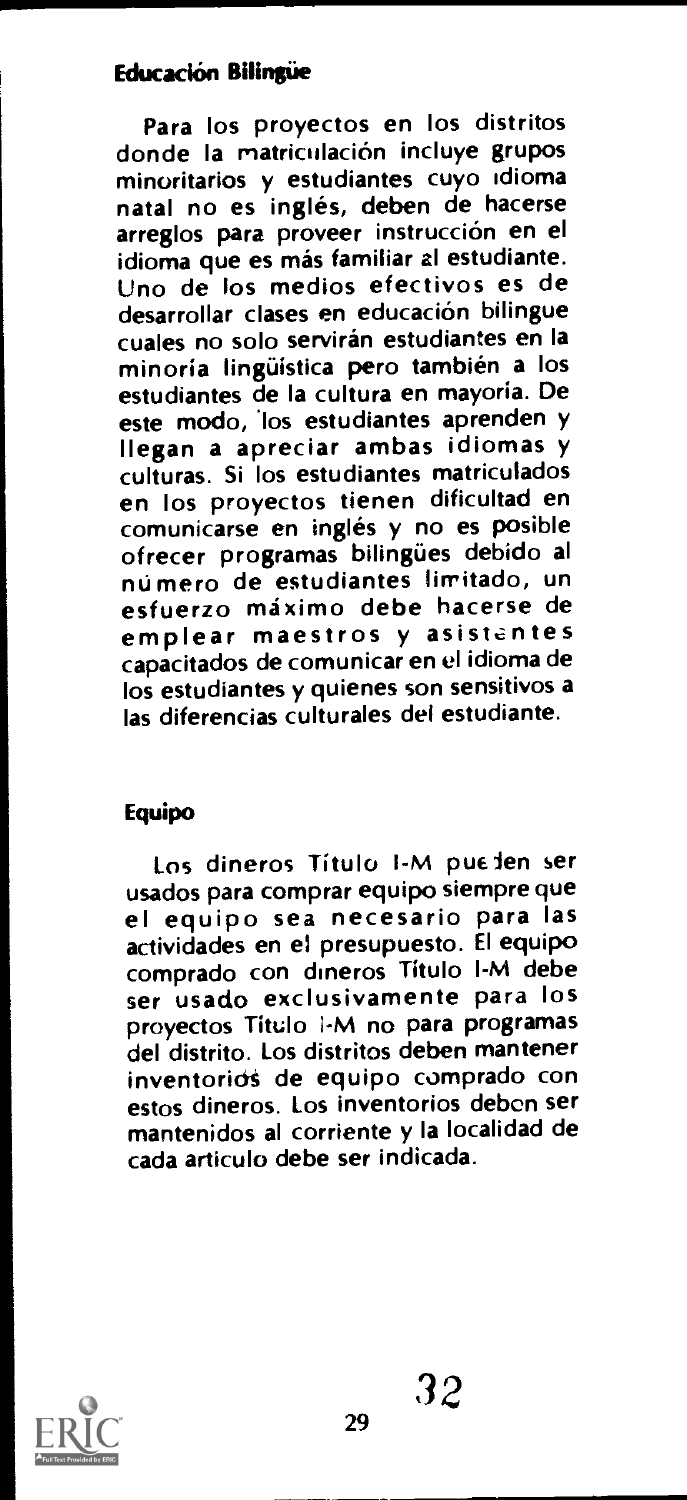# **Educación Bilingüe**

Para los proyectos en los distritos donde la matriculación incluve grupos minoritarios y estudiantes cuyo idioma natal no es inglés, deben de hacerse arreglos para proveer instrucción en el<br>idioma que es más familiar al estudiante. Uno de los medios efectivos es de desarrollar clases en educación bilingue cuales no solo servirán estudiantes en la minoria linguistica pero tambien a los estudiantes de la cultura en mayoria. De este modo, los estudiantes aprenden y Ilegan a apreciar ambas idiomas y culturas. Si los estudiantes matriculados en los proyectos tienen dificultad en comunicarse en inglés y no es posible ofrecer programas bilingües debido al esfuerzo máximo debe hacerse de emplear maestros y asistentes capacitados de comunicar en el idioma de los estudiantes y quienes son sensitivos a las diferencias culturales del estudiante.

# Equipo

Los dineros Título I-M pueden ser<br>usados para comprar equipo siempre que el equipo sea necesario para las actividades en el presupuesto. El equipo comprado con dineros Titulo I-M debe ser usado exclusivamente para los proyectos Titulo 1-M no para programas del distrito. Los distritos deben mantener inventorios de equipo comprado con estos dineros. Los inventorios debon ser mantenidos al corriente y la localidad de cada articulo debe ser indicada.

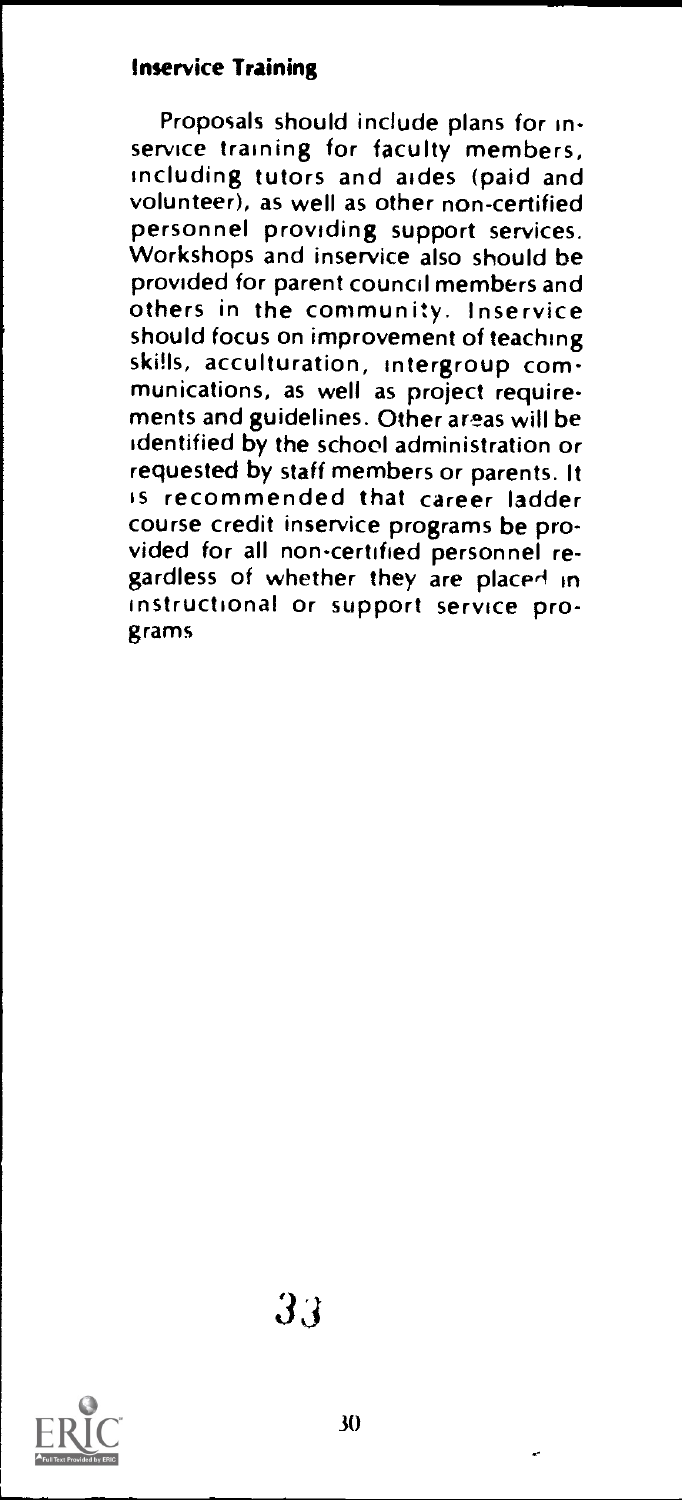### Inservice Training

Proposals should include plans for inservice training for faculty members. including tutors and aides (paid and volunteer), as well as other non-certified personnel providing support services. Workshops and inservice also should be<br>provided for parent council members and others in the community. Inservice should focus on improvement of teaching skills, acculturation, intergroup communications, as well as project requirements and guidelines. Other areas will be identified by the school administration or requested by staff members or parents. It is recommended that career ladder course credit inservice programs be provided for all non-certified personnel reeardless of whether they are placed in instructional or support service programs